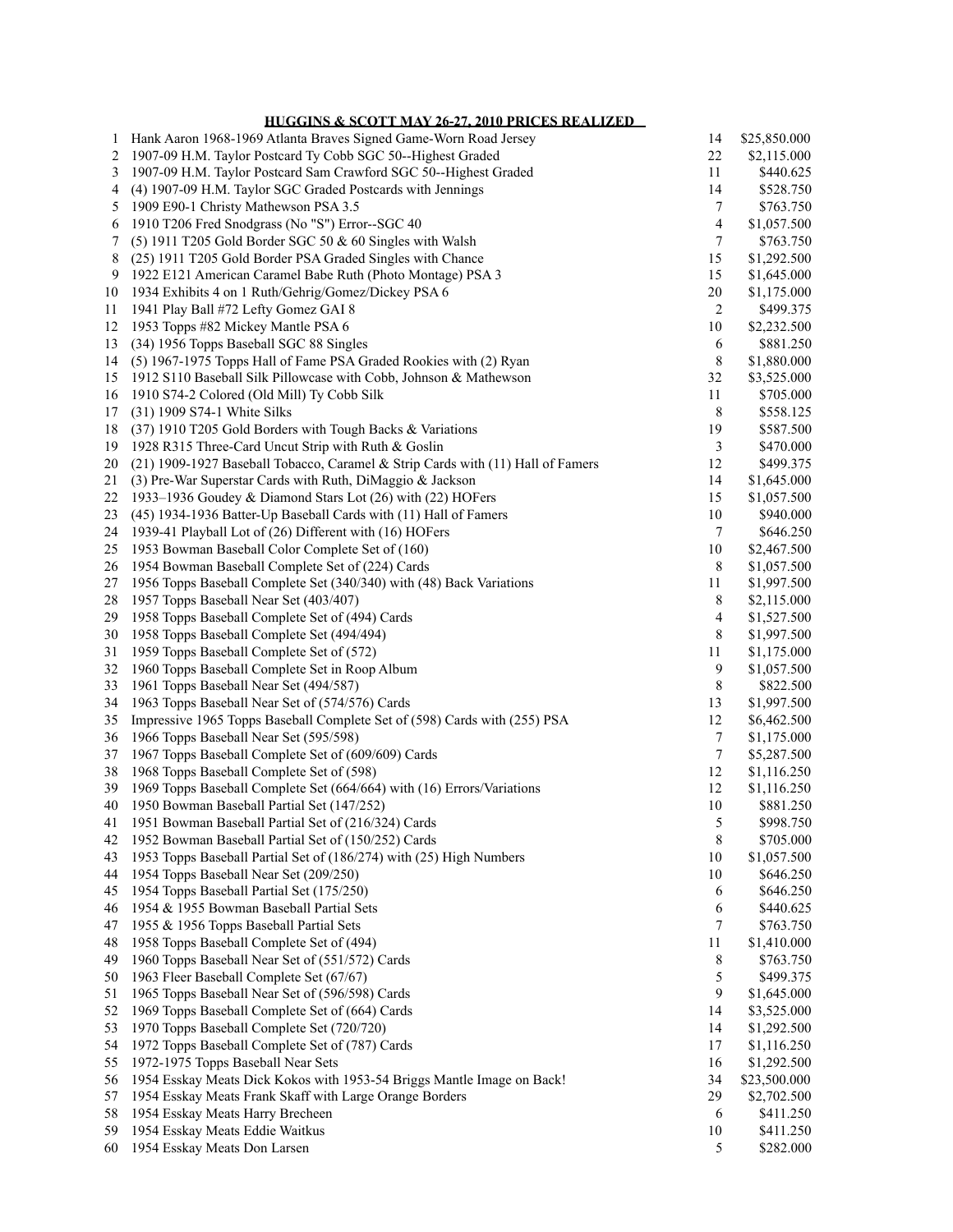## **HUGGINS & SCOTT MAY 26-27, 2010 PRICES REALIZED**

| 1        | Hank Aaron 1968-1969 Atlanta Braves Signed Game-Worn Road Jersey                         | 14             | \$25,850.000             |
|----------|------------------------------------------------------------------------------------------|----------------|--------------------------|
| 2        | 1907-09 H.M. Taylor Postcard Ty Cobb SGC 50--Highest Graded                              | $22\,$         | \$2,115.000              |
| 3        | 1907-09 H.M. Taylor Postcard Sam Crawford SGC 50--Highest Graded                         | 11             | \$440.625                |
| 4        | (4) 1907-09 H.M. Taylor SGC Graded Postcards with Jennings                               | 14             | \$528.750                |
| 5        | 1909 E90-1 Christy Mathewson PSA 3.5                                                     | 7              | \$763.750                |
| 6        | 1910 T206 Fred Snodgrass (No "S") Error--SGC 40                                          | $\overline{4}$ | \$1,057.500              |
| 7        | (5) 1911 T205 Gold Border SGC 50 $&$ 60 Singles with Walsh                               | 7              | \$763.750                |
| 8        | (25) 1911 T205 Gold Border PSA Graded Singles with Chance                                | 15             | \$1,292.500              |
| 9        | 1922 E121 American Caramel Babe Ruth (Photo Montage) PSA 3                               | 15             | \$1,645.000              |
| 10       | 1934 Exhibits 4 on 1 Ruth/Gehrig/Gomez/Dickey PSA 6                                      | 20             | \$1,175.000              |
| 11       | 1941 Play Ball #72 Lefty Gomez GAI 8                                                     | 2              | \$499.375                |
| 12       | 1953 Topps #82 Mickey Mantle PSA 6                                                       | 10             | \$2,232.500              |
| 13       | (34) 1956 Topps Baseball SGC 88 Singles                                                  | 6              | \$881.250                |
| 14       | (5) 1967-1975 Topps Hall of Fame PSA Graded Rookies with (2) Ryan                        | $\,$ 8 $\,$    | \$1,880.000              |
| 15       | 1912 S110 Baseball Silk Pillowcase with Cobb, Johnson & Mathewson                        | 32<br>11       | \$3,525.000              |
| 16<br>17 | 1910 S74-2 Colored (Old Mill) Ty Cobb Silk                                               | 8              | \$705.000<br>\$558.125   |
| 18       | (31) 1909 S74-1 White Silks<br>(37) 1910 T205 Gold Borders with Tough Backs & Variations | 19             | \$587.500                |
| 19       | 1928 R315 Three-Card Uncut Strip with Ruth & Goslin                                      | 3              | \$470.000                |
| 20       | (21) 1909-1927 Baseball Tobacco, Caramel & Strip Cards with (11) Hall of Famers          | 12             | \$499.375                |
| 21       | (3) Pre-War Superstar Cards with Ruth, DiMaggio & Jackson                                | 14             | \$1,645.000              |
| 22       | 1933-1936 Goudey & Diamond Stars Lot (26) with (22) HOFers                               | 15             | \$1,057.500              |
| 23       | (45) 1934-1936 Batter-Up Baseball Cards with (11) Hall of Famers                         | 10             | \$940.000                |
| 24       | 1939-41 Playball Lot of (26) Different with (16) HOFers                                  | $\tau$         | \$646.250                |
| 25       | 1953 Bowman Baseball Color Complete Set of (160)                                         | 10             | \$2,467.500              |
| 26       | 1954 Bowman Baseball Complete Set of (224) Cards                                         | 8              | \$1,057.500              |
| 27       | 1956 Topps Baseball Complete Set (340/340) with (48) Back Variations                     | 11             | \$1,997.500              |
| 28       | 1957 Topps Baseball Near Set (403/407)                                                   | 8              | \$2,115.000              |
| 29       | 1958 Topps Baseball Complete Set of (494) Cards                                          | $\overline{4}$ | \$1,527.500              |
| 30       | 1958 Topps Baseball Complete Set (494/494)                                               | 8              | \$1,997.500              |
| 31       | 1959 Topps Baseball Complete Set of (572)                                                | 11             | \$1,175.000              |
| 32       | 1960 Topps Baseball Complete Set in Roop Album                                           | 9              | \$1,057.500              |
| 33       | 1961 Topps Baseball Near Set (494/587)                                                   | $\,$ 8 $\,$    | \$822.500                |
| 34       | 1963 Topps Baseball Near Set of (574/576) Cards                                          | 13             | \$1,997.500              |
| 35       | Impressive 1965 Topps Baseball Complete Set of (598) Cards with (255) PSA                | 12             | \$6,462.500              |
| 36       | 1966 Topps Baseball Near Set (595/598)                                                   | 7              | \$1,175.000              |
| 37       | 1967 Topps Baseball Complete Set of (609/609) Cards                                      | $\tau$         | \$5,287.500              |
| 38       | 1968 Topps Baseball Complete Set of (598)                                                | 12             | \$1,116.250              |
| 39       | 1969 Topps Baseball Complete Set (664/664) with (16) Errors/Variations                   | 12             | \$1,116.250              |
| 40       | 1950 Bowman Baseball Partial Set (147/252)                                               | 10             | \$881.250                |
| 41       | 1951 Bowman Baseball Partial Set of (216/324) Cards                                      | 5              | \$998.750                |
| 42       | 1952 Bowman Baseball Partial Set of (150/252) Cards                                      | $\,$ 8 $\,$    | \$705.000                |
| 43       | 1953 Topps Baseball Partial Set of (186/274) with (25) High Numbers                      | 10             | \$1,057.500              |
| 44       | 1954 Topps Baseball Near Set (209/250)                                                   | 10             | \$646.250                |
| 45       | 1954 Topps Baseball Partial Set (175/250)                                                | 6              | \$646.250                |
| 46       | 1954 & 1955 Bowman Baseball Partial Sets                                                 | 6              | \$440.625                |
| 47<br>48 | 1955 & 1956 Topps Baseball Partial Sets<br>1958 Topps Baseball Complete Set of (494)     | 7<br>11        | \$763.750                |
| 49       | 1960 Topps Baseball Near Set of (551/572) Cards                                          | 8              | \$1,410.000<br>\$763.750 |
| 50       | 1963 Fleer Baseball Complete Set (67/67)                                                 | 5              | \$499.375                |
| 51       | 1965 Topps Baseball Near Set of (596/598) Cards                                          | 9              | \$1,645.000              |
| 52       | 1969 Topps Baseball Complete Set of (664) Cards                                          | 14             | \$3,525.000              |
| 53       | 1970 Topps Baseball Complete Set (720/720)                                               | 14             | \$1,292.500              |
| 54       | 1972 Topps Baseball Complete Set of (787) Cards                                          | 17             | \$1,116.250              |
| 55       | 1972-1975 Topps Baseball Near Sets                                                       | 16             | \$1,292.500              |
| 56       | 1954 Esskay Meats Dick Kokos with 1953-54 Briggs Mantle Image on Back!                   | 34             | \$23,500.000             |
| 57       | 1954 Esskay Meats Frank Skaff with Large Orange Borders                                  | 29             | \$2,702.500              |
| 58       | 1954 Esskay Meats Harry Brecheen                                                         | 6              | \$411.250                |
| 59       | 1954 Esskay Meats Eddie Waitkus                                                          | 10             | \$411.250                |
| 60       | 1954 Esskay Meats Don Larsen                                                             | 5              | \$282.000                |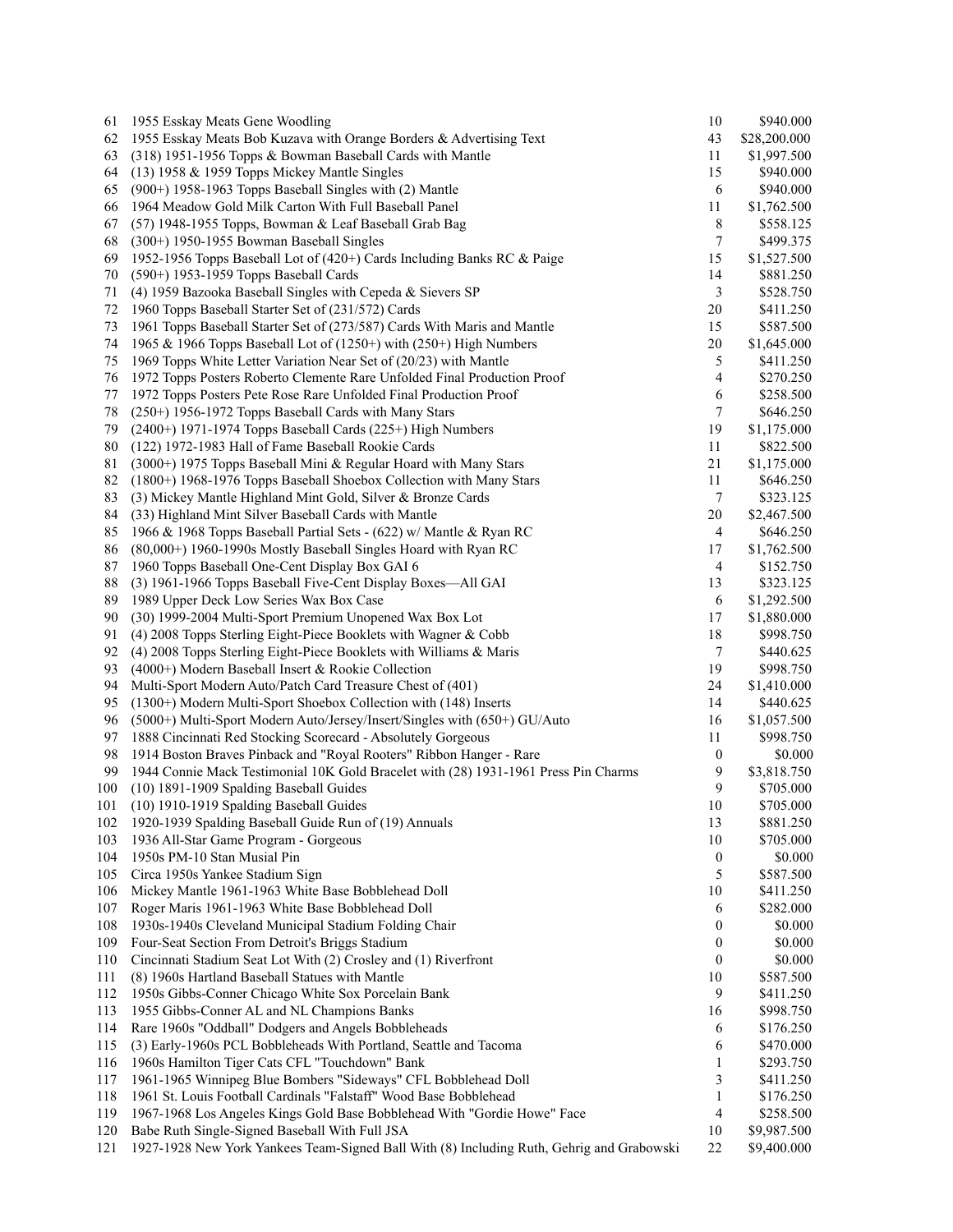| 61  | 1955 Esskay Meats Gene Woodling                                                           | 10               | \$940.000    |
|-----|-------------------------------------------------------------------------------------------|------------------|--------------|
| 62  | 1955 Esskay Meats Bob Kuzava with Orange Borders & Advertising Text                       | 43               | \$28,200.000 |
| 63  | (318) 1951-1956 Topps & Bowman Baseball Cards with Mantle                                 | 11               | \$1,997.500  |
| 64  | (13) 1958 & 1959 Topps Mickey Mantle Singles                                              | 15               | \$940.000    |
| 65  | $(900+)$ 1958-1963 Topps Baseball Singles with $(2)$ Mantle                               | 6                | \$940.000    |
| 66  | 1964 Meadow Gold Milk Carton With Full Baseball Panel                                     | 11               | \$1,762.500  |
| 67  | (57) 1948-1955 Topps, Bowman & Leaf Baseball Grab Bag                                     | 8                | \$558.125    |
| 68  | $(300+)$ 1950-1955 Bowman Baseball Singles                                                | 7                | \$499.375    |
| 69  | 1952-1956 Topps Baseball Lot of (420+) Cards Including Banks RC & Paige                   | 15               | \$1,527.500  |
| 70  | (590+) 1953-1959 Topps Baseball Cards                                                     | 14               | \$881.250    |
| 71  | (4) 1959 Bazooka Baseball Singles with Cepeda & Sievers SP                                | 3                | \$528.750    |
| 72  | 1960 Topps Baseball Starter Set of (231/572) Cards                                        | 20               | \$411.250    |
| 73  | 1961 Topps Baseball Starter Set of (273/587) Cards With Maris and Mantle                  | 15               | \$587.500    |
| 74  | 1965 & 1966 Topps Baseball Lot of (1250+) with (250+) High Numbers                        | 20               | \$1,645.000  |
| 75  | 1969 Topps White Letter Variation Near Set of (20/23) with Mantle                         | 5                | \$411.250    |
| 76  | 1972 Topps Posters Roberto Clemente Rare Unfolded Final Production Proof                  | $\overline{4}$   | \$270.250    |
| 77  | 1972 Topps Posters Pete Rose Rare Unfolded Final Production Proof                         | 6                | \$258.500    |
| 78  | (250+) 1956-1972 Topps Baseball Cards with Many Stars                                     | 7                | \$646.250    |
| 79  | $(2400+)$ 1971-1974 Topps Baseball Cards $(225+)$ High Numbers                            | 19               | \$1,175.000  |
| 80  | (122) 1972-1983 Hall of Fame Baseball Rookie Cards                                        | 11               | \$822.500    |
| 81  | (3000+) 1975 Topps Baseball Mini & Regular Hoard with Many Stars                          | 21               | \$1,175.000  |
| 82  | (1800+) 1968-1976 Topps Baseball Shoebox Collection with Many Stars                       | 11               | \$646.250    |
| 83  | (3) Mickey Mantle Highland Mint Gold, Silver & Bronze Cards                               | 7                | \$323.125    |
| 84  | (33) Highland Mint Silver Baseball Cards with Mantle                                      | 20               | \$2,467.500  |
|     |                                                                                           |                  |              |
| 85  | 1966 & 1968 Topps Baseball Partial Sets - (622) w/ Mantle & Ryan RC                       | 4                | \$646.250    |
| 86  | $(80,000+)$ 1960-1990s Mostly Baseball Singles Hoard with Ryan RC                         | 17               | \$1,762.500  |
| 87  | 1960 Topps Baseball One-Cent Display Box GAI 6                                            | 4                | \$152.750    |
| 88  | (3) 1961-1966 Topps Baseball Five-Cent Display Boxes-All GAI                              | 13               | \$323.125    |
| 89  | 1989 Upper Deck Low Series Wax Box Case                                                   | 6                | \$1,292.500  |
| 90  | (30) 1999-2004 Multi-Sport Premium Unopened Wax Box Lot                                   | 17               | \$1,880.000  |
| 91  | (4) 2008 Topps Sterling Eight-Piece Booklets with Wagner & Cobb                           | 18               | \$998.750    |
| 92  | (4) 2008 Topps Sterling Eight-Piece Booklets with Williams & Maris                        | 7                | \$440.625    |
| 93  | (4000+) Modern Baseball Insert & Rookie Collection                                        | 19               | \$998.750    |
| 94  | Multi-Sport Modern Auto/Patch Card Treasure Chest of (401)                                | 24               | \$1,410.000  |
| 95  | (1300+) Modern Multi-Sport Shoebox Collection with (148) Inserts                          | 14               | \$440.625    |
| 96  | (5000+) Multi-Sport Modern Auto/Jersey/Insert/Singles with (650+) GU/Auto                 | 16               | \$1,057.500  |
| 97  | 1888 Cincinnati Red Stocking Scorecard - Absolutely Gorgeous                              | 11               | \$998.750    |
| 98  | 1914 Boston Braves Pinback and "Royal Rooters" Ribbon Hanger - Rare                       | 0                | \$0.000      |
| 99  | 1944 Connie Mack Testimonial 10K Gold Bracelet with (28) 1931-1961 Press Pin Charms       | 9                | \$3,818.750  |
| 100 | (10) 1891-1909 Spalding Baseball Guides                                                   | 9                | \$705.000    |
| 101 | (10) 1910-1919 Spalding Baseball Guides                                                   | 10               | \$705.000    |
| 102 | 1920-1939 Spalding Baseball Guide Run of (19) Annuals                                     | 13               | \$881.250    |
| 103 | 1936 All-Star Game Program - Gorgeous                                                     | 10               | \$705.000    |
| 104 | 1950s PM-10 Stan Musial Pin                                                               | $\boldsymbol{0}$ | \$0.000      |
| 105 | Circa 1950s Yankee Stadium Sign                                                           | 5                | \$587.500    |
| 106 | Mickey Mantle 1961-1963 White Base Bobblehead Doll                                        | 10               | \$411.250    |
| 107 | Roger Maris 1961-1963 White Base Bobblehead Doll                                          | 6                | \$282.000    |
| 108 | 1930s-1940s Cleveland Municipal Stadium Folding Chair                                     | $\boldsymbol{0}$ | \$0.000      |
| 109 | Four-Seat Section From Detroit's Briggs Stadium                                           | 0                | \$0.000      |
| 110 | Cincinnati Stadium Seat Lot With (2) Crosley and (1) Riverfront                           | 0                | \$0.000      |
| 111 | (8) 1960s Hartland Baseball Statues with Mantle                                           | 10               | \$587.500    |
| 112 | 1950s Gibbs-Conner Chicago White Sox Porcelain Bank                                       | 9                | \$411.250    |
| 113 | 1955 Gibbs-Conner AL and NL Champions Banks                                               | 16               | \$998.750    |
| 114 | Rare 1960s "Oddball" Dodgers and Angels Bobbleheads                                       | 6                | \$176.250    |
| 115 | (3) Early-1960s PCL Bobbleheads With Portland, Seattle and Tacoma                         | 6                | \$470.000    |
| 116 | 1960s Hamilton Tiger Cats CFL "Touchdown" Bank                                            | 1                | \$293.750    |
| 117 | 1961-1965 Winnipeg Blue Bombers "Sideways" CFL Bobblehead Doll                            | 3                | \$411.250    |
| 118 | 1961 St. Louis Football Cardinals "Falstaff" Wood Base Bobblehead                         | 1                | \$176.250    |
| 119 | 1967-1968 Los Angeles Kings Gold Base Bobblehead With "Gordie Howe" Face                  | 4                | \$258.500    |
| 120 | Babe Ruth Single-Signed Baseball With Full JSA                                            | 10               | \$9,987.500  |
| 121 | 1927-1928 New York Yankees Team-Signed Ball With (8) Including Ruth, Gehrig and Grabowski | 22               | \$9,400.000  |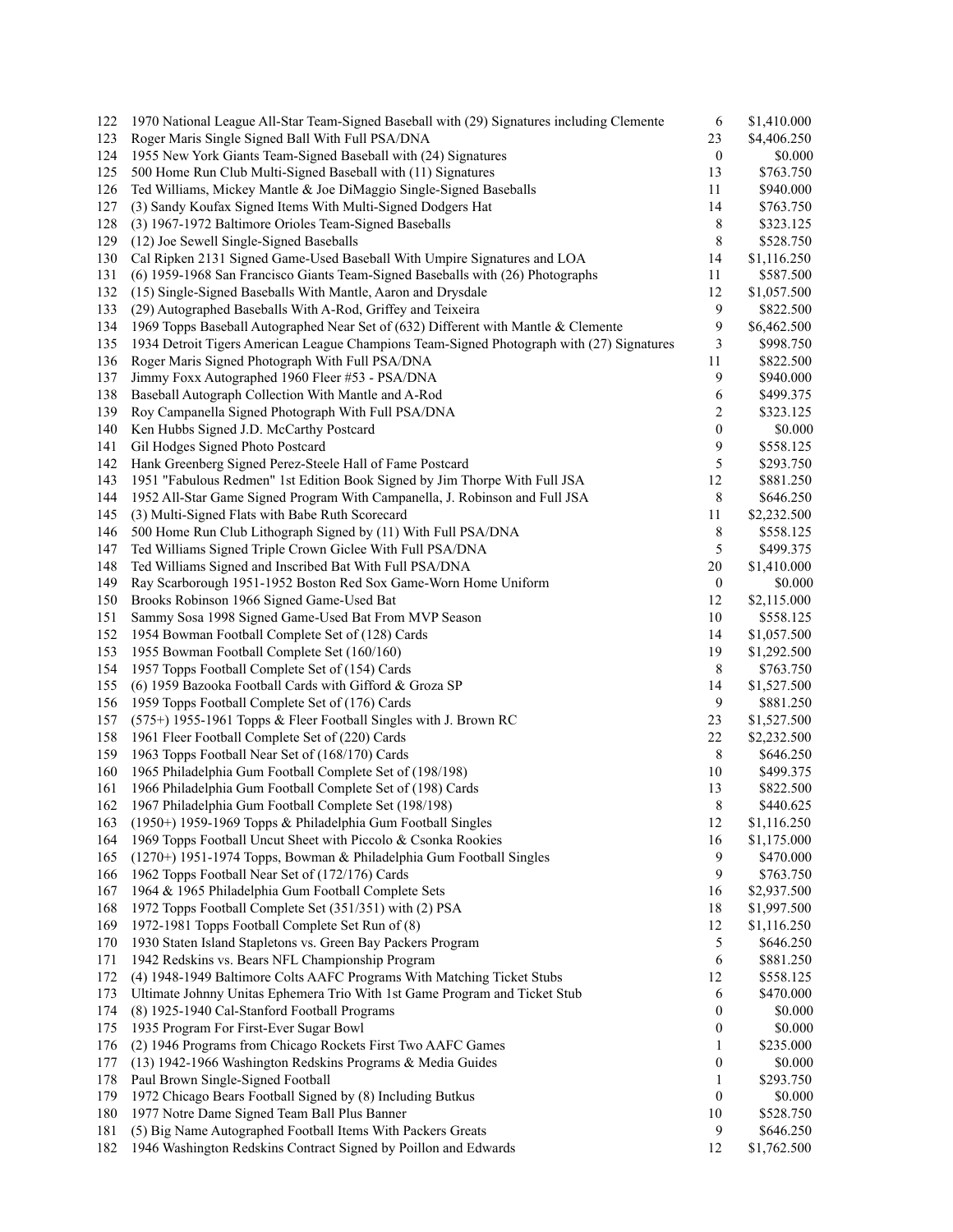| 122 | 1970 National League All-Star Team-Signed Baseball with (29) Signatures including Clemente | 6                       | \$1,410.000 |
|-----|--------------------------------------------------------------------------------------------|-------------------------|-------------|
| 123 | Roger Maris Single Signed Ball With Full PSA/DNA                                           | 23                      | \$4,406.250 |
| 124 | 1955 New York Giants Team-Signed Baseball with (24) Signatures                             | $\boldsymbol{0}$        | \$0.000     |
| 125 | 500 Home Run Club Multi-Signed Baseball with (11) Signatures                               | 13                      | \$763.750   |
| 126 | Ted Williams, Mickey Mantle & Joe DiMaggio Single-Signed Baseballs                         | 11                      | \$940.000   |
| 127 | (3) Sandy Koufax Signed Items With Multi-Signed Dodgers Hat                                | 14                      | \$763.750   |
| 128 | (3) 1967-1972 Baltimore Orioles Team-Signed Baseballs                                      | 8                       | \$323.125   |
| 129 | (12) Joe Sewell Single-Signed Baseballs                                                    | 8                       | \$528.750   |
| 130 | Cal Ripken 2131 Signed Game-Used Baseball With Umpire Signatures and LOA                   | 14                      | \$1,116.250 |
| 131 | (6) 1959-1968 San Francisco Giants Team-Signed Baseballs with (26) Photographs             | 11                      | \$587.500   |
| 132 | (15) Single-Signed Baseballs With Mantle, Aaron and Drysdale                               | 12                      | \$1,057.500 |
| 133 | (29) Autographed Baseballs With A-Rod, Griffey and Teixeira                                | 9                       | \$822.500   |
| 134 | 1969 Topps Baseball Autographed Near Set of (632) Different with Mantle & Clemente         | 9                       | \$6,462.500 |
| 135 | 1934 Detroit Tigers American League Champions Team-Signed Photograph with (27) Signatures  | 3                       | \$998.750   |
| 136 | Roger Maris Signed Photograph With Full PSA/DNA                                            | 11                      | \$822.500   |
| 137 | Jimmy Foxx Autographed 1960 Fleer #53 - PSA/DNA                                            | 9                       | \$940.000   |
| 138 | Baseball Autograph Collection With Mantle and A-Rod                                        | 6                       |             |
|     |                                                                                            |                         | \$499.375   |
| 139 | Roy Campanella Signed Photograph With Full PSA/DNA                                         | $\overline{\mathbf{c}}$ | \$323.125   |
| 140 | Ken Hubbs Signed J.D. McCarthy Postcard                                                    | $\boldsymbol{0}$        | \$0.000     |
| 141 | Gil Hodges Signed Photo Postcard                                                           | 9                       | \$558.125   |
| 142 | Hank Greenberg Signed Perez-Steele Hall of Fame Postcard                                   | 5                       | \$293.750   |
| 143 | 1951 "Fabulous Redmen" 1st Edition Book Signed by Jim Thorpe With Full JSA                 | 12                      | \$881.250   |
| 144 | 1952 All-Star Game Signed Program With Campanella, J. Robinson and Full JSA                | 8                       | \$646.250   |
| 145 | (3) Multi-Signed Flats with Babe Ruth Scorecard                                            | 11                      | \$2,232.500 |
| 146 | 500 Home Run Club Lithograph Signed by (11) With Full PSA/DNA                              | 8                       | \$558.125   |
| 147 | Ted Williams Signed Triple Crown Giclee With Full PSA/DNA                                  | 5                       | \$499.375   |
| 148 | Ted Williams Signed and Inscribed Bat With Full PSA/DNA                                    | 20                      | \$1,410.000 |
| 149 | Ray Scarborough 1951-1952 Boston Red Sox Game-Worn Home Uniform                            | $\boldsymbol{0}$        | \$0.000     |
| 150 | Brooks Robinson 1966 Signed Game-Used Bat                                                  | 12                      | \$2,115.000 |
| 151 | Sammy Sosa 1998 Signed Game-Used Bat From MVP Season                                       | 10                      | \$558.125   |
| 152 | 1954 Bowman Football Complete Set of (128) Cards                                           | 14                      | \$1,057.500 |
| 153 | 1955 Bowman Football Complete Set (160/160)                                                | 19                      | \$1,292.500 |
| 154 | 1957 Topps Football Complete Set of (154) Cards                                            | 8                       | \$763.750   |
| 155 | (6) 1959 Bazooka Football Cards with Gifford & Groza SP                                    | 14                      | \$1,527.500 |
| 156 | 1959 Topps Football Complete Set of (176) Cards                                            | 9                       | \$881.250   |
| 157 | (575+) 1955-1961 Topps & Fleer Football Singles with J. Brown RC                           | 23                      | \$1,527.500 |
| 158 | 1961 Fleer Football Complete Set of (220) Cards                                            | 22                      | \$2,232.500 |
| 159 | 1963 Topps Football Near Set of (168/170) Cards                                            | 8                       | \$646.250   |
| 160 | 1965 Philadelphia Gum Football Complete Set of (198/198)                                   | 10                      | \$499.375   |
| 161 | 1966 Philadelphia Gum Football Complete Set of (198) Cards                                 | 13                      | \$822.500   |
| 162 | 1967 Philadelphia Gum Football Complete Set (198/198)                                      | 8                       | \$440.625   |
| 163 | (1950+) 1959-1969 Topps & Philadelphia Gum Football Singles                                | 12                      | \$1,116.250 |
| 164 | 1969 Topps Football Uncut Sheet with Piccolo & Csonka Rookies                              | 16                      | \$1,175.000 |
| 165 | (1270+) 1951-1974 Topps, Bowman & Philadelphia Gum Football Singles                        | 9                       | \$470.000   |
| 166 | 1962 Topps Football Near Set of (172/176) Cards                                            | 9                       | \$763.750   |
| 167 | 1964 & 1965 Philadelphia Gum Football Complete Sets                                        |                         |             |
|     |                                                                                            | 16                      | \$2,937.500 |
| 168 | 1972 Topps Football Complete Set (351/351) with (2) PSA                                    | 18                      | \$1,997.500 |
| 169 | 1972-1981 Topps Football Complete Set Run of (8)                                           | 12                      | \$1,116.250 |
| 170 | 1930 Staten Island Stapletons vs. Green Bay Packers Program                                | 5                       | \$646.250   |
| 171 | 1942 Redskins vs. Bears NFL Championship Program                                           | 6                       | \$881.250   |
| 172 | (4) 1948-1949 Baltimore Colts AAFC Programs With Matching Ticket Stubs                     | 12                      | \$558.125   |
| 173 | Ultimate Johnny Unitas Ephemera Trio With 1st Game Program and Ticket Stub                 | 6                       | \$470.000   |
| 174 | (8) 1925-1940 Cal-Stanford Football Programs                                               | 0                       | \$0.000     |
| 175 | 1935 Program For First-Ever Sugar Bowl                                                     | 0                       | \$0.000     |
| 176 | (2) 1946 Programs from Chicago Rockets First Two AAFC Games                                | 1                       | \$235.000   |
| 177 | (13) 1942-1966 Washington Redskins Programs & Media Guides                                 | 0                       | \$0.000     |
| 178 | Paul Brown Single-Signed Football                                                          | 1                       | \$293.750   |
| 179 | 1972 Chicago Bears Football Signed by (8) Including Butkus                                 | $\boldsymbol{0}$        | \$0.000     |
| 180 | 1977 Notre Dame Signed Team Ball Plus Banner                                               | 10                      | \$528.750   |
| 181 | (5) Big Name Autographed Football Items With Packers Greats                                | 9                       | \$646.250   |
| 182 | 1946 Washington Redskins Contract Signed by Poillon and Edwards                            | 12                      | \$1,762.500 |
|     |                                                                                            |                         |             |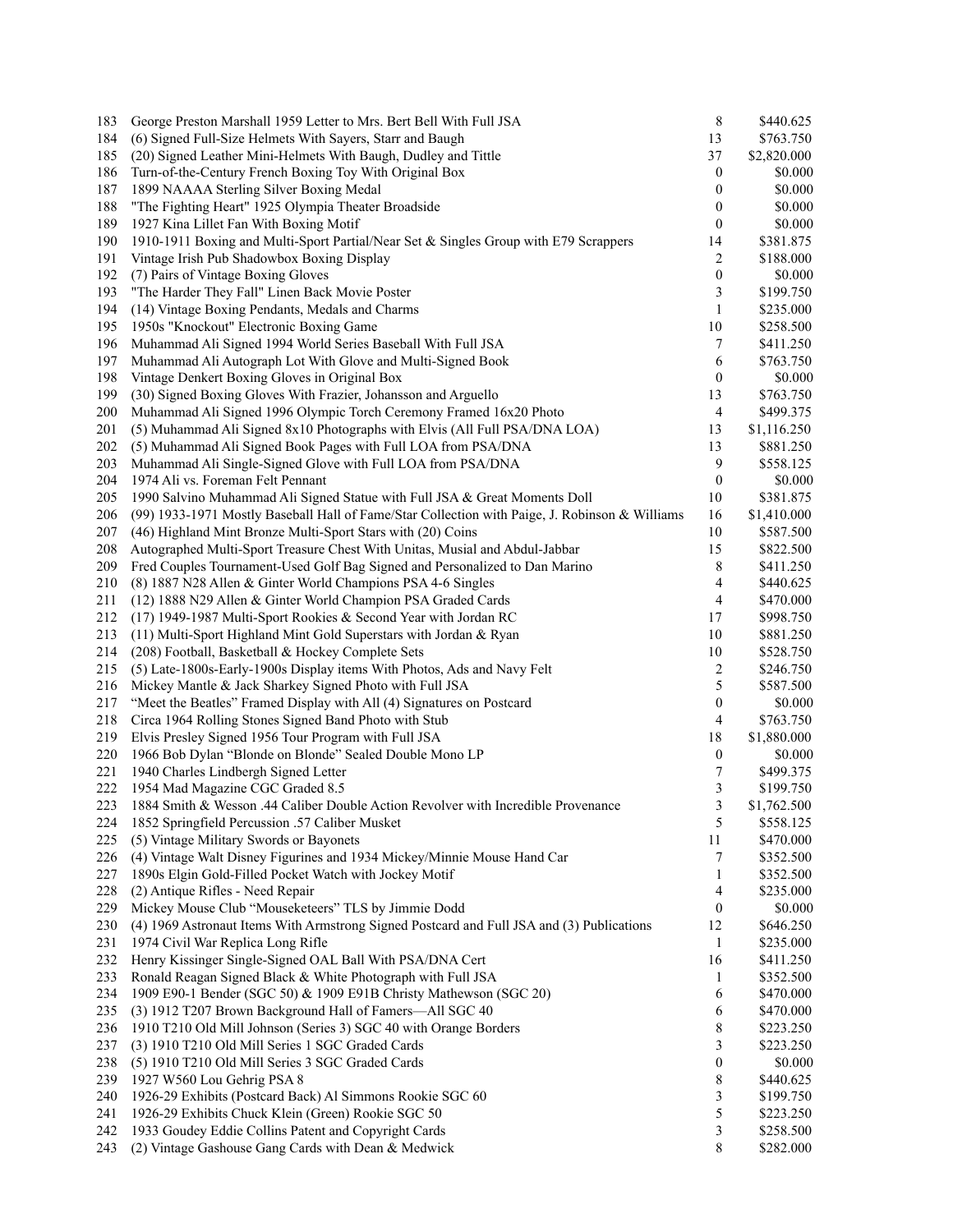| 183 | George Preston Marshall 1959 Letter to Mrs. Bert Bell With Full JSA                            | 8                | \$440.625   |
|-----|------------------------------------------------------------------------------------------------|------------------|-------------|
| 184 | (6) Signed Full-Size Helmets With Sayers, Starr and Baugh                                      | 13               | \$763.750   |
| 185 | (20) Signed Leather Mini-Helmets With Baugh, Dudley and Tittle                                 | 37               | \$2,820.000 |
| 186 | Turn-of-the-Century French Boxing Toy With Original Box                                        | 0                | \$0.000     |
| 187 | 1899 NAAAA Sterling Silver Boxing Medal                                                        | 0                | \$0.000     |
| 188 | "The Fighting Heart" 1925 Olympia Theater Broadside                                            | 0                | \$0.000     |
| 189 | 1927 Kina Lillet Fan With Boxing Motif                                                         | 0                | \$0.000     |
| 190 | 1910-1911 Boxing and Multi-Sport Partial/Near Set & Singles Group with E79 Scrappers           | 14               | \$381.875   |
| 191 | Vintage Irish Pub Shadowbox Boxing Display                                                     | 2                | \$188.000   |
| 192 | (7) Pairs of Vintage Boxing Gloves                                                             | 0                | \$0.000     |
| 193 | "The Harder They Fall" Linen Back Movie Poster                                                 | 3                | \$199.750   |
| 194 | (14) Vintage Boxing Pendants, Medals and Charms                                                | 1                | \$235.000   |
| 195 | 1950s "Knockout" Electronic Boxing Game                                                        | 10               | \$258.500   |
| 196 | Muhammad Ali Signed 1994 World Series Baseball With Full JSA                                   | 7                | \$411.250   |
| 197 | Muhammad Ali Autograph Lot With Glove and Multi-Signed Book                                    | 6                | \$763.750   |
| 198 | Vintage Denkert Boxing Gloves in Original Box                                                  | $\boldsymbol{0}$ | \$0.000     |
| 199 | (30) Signed Boxing Gloves With Frazier, Johansson and Arguello                                 | 13               | \$763.750   |
| 200 | Muhammad Ali Signed 1996 Olympic Torch Ceremony Framed 16x20 Photo                             | 4                | \$499.375   |
| 201 | (5) Muhammad Ali Signed 8x10 Photographs with Elvis (All Full PSA/DNA LOA)                     | 13               | \$1,116.250 |
| 202 | (5) Muhammad Ali Signed Book Pages with Full LOA from PSA/DNA                                  | 13               | \$881.250   |
| 203 | Muhammad Ali Single-Signed Glove with Full LOA from PSA/DNA                                    | 9                | \$558.125   |
| 204 | 1974 Ali vs. Foreman Felt Pennant                                                              | $\boldsymbol{0}$ | \$0.000     |
| 205 | 1990 Salvino Muhammad Ali Signed Statue with Full JSA & Great Moments Doll                     | 10               | \$381.875   |
| 206 | (99) 1933-1971 Mostly Baseball Hall of Fame/Star Collection with Paige, J. Robinson & Williams | 16               | \$1,410.000 |
| 207 | (46) Highland Mint Bronze Multi-Sport Stars with (20) Coins                                    | 10               | \$587.500   |
| 208 | Autographed Multi-Sport Treasure Chest With Unitas, Musial and Abdul-Jabbar                    | 15               | \$822.500   |
| 209 | Fred Couples Tournament-Used Golf Bag Signed and Personalized to Dan Marino                    | 8                | \$411.250   |
| 210 | (8) 1887 N28 Allen & Ginter World Champions PSA 4-6 Singles                                    | 4                | \$440.625   |
| 211 | (12) 1888 N29 Allen & Ginter World Champion PSA Graded Cards                                   | 4                | \$470.000   |
| 212 | (17) 1949-1987 Multi-Sport Rookies & Second Year with Jordan RC                                | 17               | \$998.750   |
| 213 | (11) Multi-Sport Highland Mint Gold Superstars with Jordan & Ryan                              | 10               | \$881.250   |
| 214 | (208) Football, Basketball & Hockey Complete Sets                                              | 10               | \$528.750   |
| 215 | (5) Late-1800s-Early-1900s Display items With Photos, Ads and Navy Felt                        | 2                | \$246.750   |
| 216 | Mickey Mantle & Jack Sharkey Signed Photo with Full JSA                                        | 5                | \$587.500   |
| 217 | "Meet the Beatles" Framed Display with All (4) Signatures on Postcard                          | $\boldsymbol{0}$ | \$0.000     |
| 218 | Circa 1964 Rolling Stones Signed Band Photo with Stub                                          | 4                | \$763.750   |
| 219 | Elvis Presley Signed 1956 Tour Program with Full JSA                                           | 18               | \$1,880.000 |
| 220 | 1966 Bob Dylan "Blonde on Blonde" Sealed Double Mono LP                                        | $\boldsymbol{0}$ | \$0.000     |
| 221 | 1940 Charles Lindbergh Signed Letter                                                           | 7                | \$499.375   |
| 222 | 1954 Mad Magazine CGC Graded 8.5                                                               | 3                | \$199.750   |
| 223 | 1884 Smith & Wesson .44 Caliber Double Action Revolver with Incredible Provenance              | 3                | \$1,762.500 |
| 224 | 1852 Springfield Percussion .57 Caliber Musket                                                 | 5                | \$558.125   |
| 225 | (5) Vintage Military Swords or Bayonets                                                        | 11               | \$470.000   |
| 226 | (4) Vintage Walt Disney Figurines and 1934 Mickey/Minnie Mouse Hand Car                        | 7                | \$352.500   |
| 227 | 1890s Elgin Gold-Filled Pocket Watch with Jockey Motif                                         | 1                | \$352.500   |
| 228 | (2) Antique Rifles - Need Repair                                                               | 4                | \$235.000   |
| 229 | Mickey Mouse Club "Mouseketeers" TLS by Jimmie Dodd                                            | 0                | \$0.000     |
| 230 | (4) 1969 Astronaut Items With Armstrong Signed Postcard and Full JSA and (3) Publications      | 12               | \$646.250   |
| 231 | 1974 Civil War Replica Long Rifle                                                              | $\mathbf{1}$     | \$235.000   |
| 232 | Henry Kissinger Single-Signed OAL Ball With PSA/DNA Cert                                       | 16               | \$411.250   |
| 233 | Ronald Reagan Signed Black & White Photograph with Full JSA                                    | 1                | \$352.500   |
| 234 | 1909 E90-1 Bender (SGC 50) & 1909 E91B Christy Mathewson (SGC 20)                              | 6                | \$470.000   |
| 235 | (3) 1912 T207 Brown Background Hall of Famers-All SGC 40                                       | 6                | \$470.000   |
| 236 | 1910 T210 Old Mill Johnson (Series 3) SGC 40 with Orange Borders                               | 8                | \$223.250   |
| 237 | (3) 1910 T210 Old Mill Series 1 SGC Graded Cards                                               | 3                | \$223.250   |
| 238 | (5) 1910 T210 Old Mill Series 3 SGC Graded Cards                                               | 0                | \$0.000     |
| 239 | 1927 W560 Lou Gehrig PSA 8                                                                     | 8                | \$440.625   |
| 240 | 1926-29 Exhibits (Postcard Back) Al Simmons Rookie SGC 60                                      | 3                | \$199.750   |
| 241 | 1926-29 Exhibits Chuck Klein (Green) Rookie SGC 50                                             | 5                | \$223.250   |
| 242 | 1933 Goudey Eddie Collins Patent and Copyright Cards                                           | 3                | \$258.500   |
| 243 | (2) Vintage Gashouse Gang Cards with Dean & Medwick                                            | 8                | \$282.000   |
|     |                                                                                                |                  |             |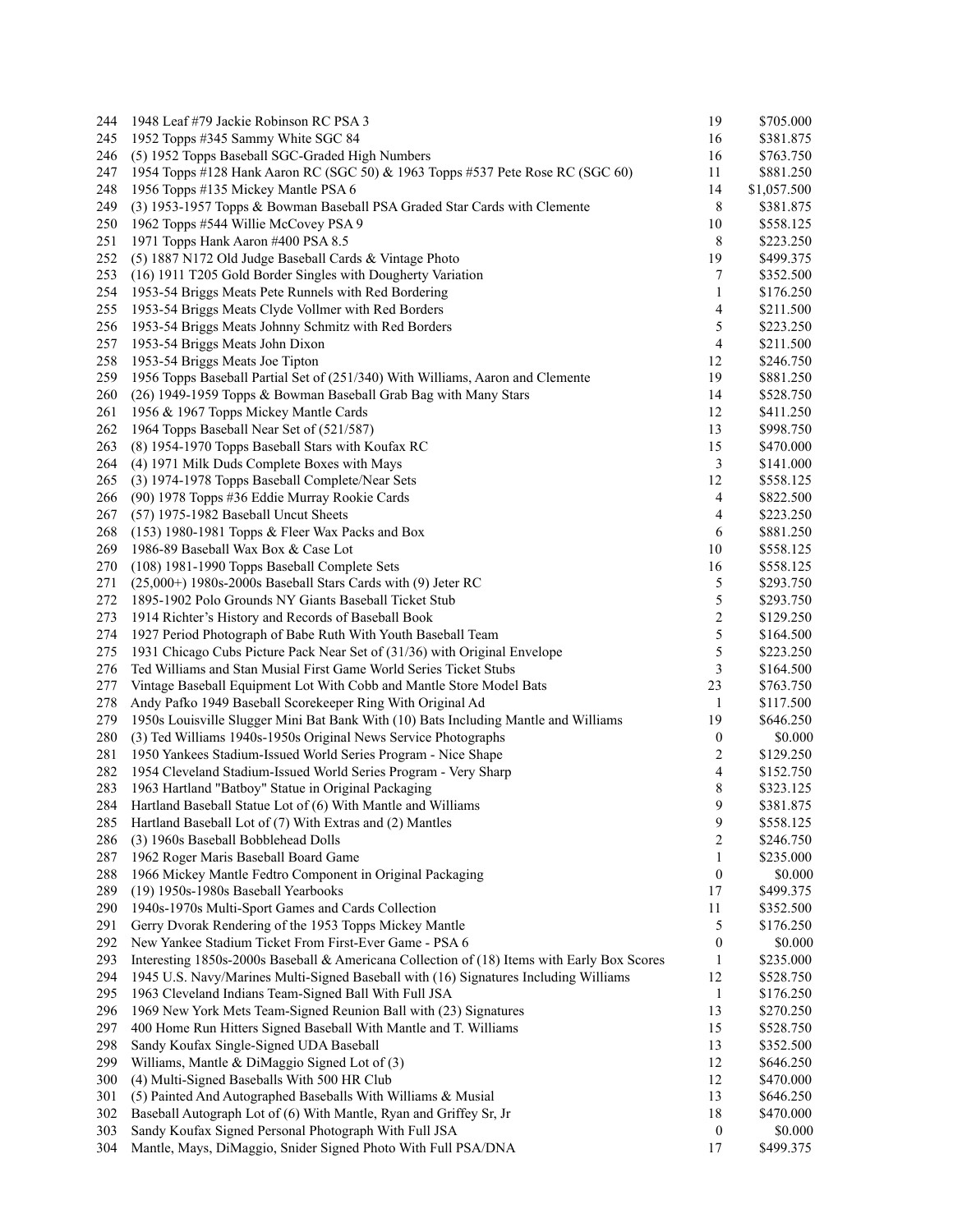| 244 | 1948 Leaf #79 Jackie Robinson RC PSA 3                                                      | 19               | \$705.000   |
|-----|---------------------------------------------------------------------------------------------|------------------|-------------|
| 245 | 1952 Topps #345 Sammy White SGC 84                                                          | 16               | \$381.875   |
| 246 | (5) 1952 Topps Baseball SGC-Graded High Numbers                                             | 16               | \$763.750   |
| 247 | 1954 Topps #128 Hank Aaron RC (SGC 50) & 1963 Topps #537 Pete Rose RC (SGC 60)              | 11               | \$881.250   |
| 248 | 1956 Topps #135 Mickey Mantle PSA 6                                                         | 14               | \$1,057.500 |
| 249 | (3) 1953-1957 Topps & Bowman Baseball PSA Graded Star Cards with Clemente                   | 8                | \$381.875   |
| 250 | 1962 Topps #544 Willie McCovey PSA 9                                                        | 10               | \$558.125   |
| 251 | 1971 Topps Hank Aaron #400 PSA 8.5                                                          | 8                | \$223.250   |
| 252 | (5) 1887 N172 Old Judge Baseball Cards & Vintage Photo                                      | 19               | \$499.375   |
| 253 | (16) 1911 T205 Gold Border Singles with Dougherty Variation                                 | 7                | \$352.500   |
| 254 | 1953-54 Briggs Meats Pete Runnels with Red Bordering                                        | 1                | \$176.250   |
| 255 | 1953-54 Briggs Meats Clyde Vollmer with Red Borders                                         | 4                | \$211.500   |
| 256 | 1953-54 Briggs Meats Johnny Schmitz with Red Borders                                        | 5                | \$223.250   |
| 257 | 1953-54 Briggs Meats John Dixon                                                             | 4                | \$211.500   |
| 258 | 1953-54 Briggs Meats Joe Tipton                                                             | 12               | \$246.750   |
| 259 | 1956 Topps Baseball Partial Set of (251/340) With Williams, Aaron and Clemente              | 19               | \$881.250   |
| 260 | (26) 1949-1959 Topps & Bowman Baseball Grab Bag with Many Stars                             | 14               | \$528.750   |
| 261 | 1956 & 1967 Topps Mickey Mantle Cards                                                       | 12               | \$411.250   |
| 262 | 1964 Topps Baseball Near Set of (521/587)                                                   | 13               | \$998.750   |
| 263 | (8) 1954-1970 Topps Baseball Stars with Koufax RC                                           | 15               | \$470.000   |
| 264 | (4) 1971 Milk Duds Complete Boxes with Mays                                                 | 3                | \$141.000   |
| 265 | (3) 1974-1978 Topps Baseball Complete/Near Sets                                             | 12               | \$558.125   |
| 266 | (90) 1978 Topps #36 Eddie Murray Rookie Cards                                               | 4                | \$822.500   |
| 267 | (57) 1975-1982 Baseball Uncut Sheets                                                        | 4                | \$223.250   |
| 268 | (153) 1980-1981 Topps & Fleer Wax Packs and Box                                             | 6                | \$881.250   |
| 269 | 1986-89 Baseball Wax Box & Case Lot                                                         | 10               | \$558.125   |
| 270 | (108) 1981-1990 Topps Baseball Complete Sets                                                | 16               | \$558.125   |
| 271 | $(25,000+)$ 1980s-2000s Baseball Stars Cards with $(9)$ Jeter RC                            | 5                | \$293.750   |
| 272 | 1895-1902 Polo Grounds NY Giants Baseball Ticket Stub                                       | 5                | \$293.750   |
| 273 | 1914 Richter's History and Records of Baseball Book                                         | $\boldsymbol{2}$ | \$129.250   |
| 274 | 1927 Period Photograph of Babe Ruth With Youth Baseball Team                                | 5                | \$164.500   |
| 275 | 1931 Chicago Cubs Picture Pack Near Set of (31/36) with Original Envelope                   | 5                | \$223.250   |
| 276 | Ted Williams and Stan Musial First Game World Series Ticket Stubs                           | 3                | \$164.500   |
| 277 | Vintage Baseball Equipment Lot With Cobb and Mantle Store Model Bats                        | 23               | \$763.750   |
| 278 | Andy Pafko 1949 Baseball Scorekeeper Ring With Original Ad                                  | 1                | \$117.500   |
| 279 | 1950s Louisville Slugger Mini Bat Bank With (10) Bats Including Mantle and Williams         | 19               | \$646.250   |
| 280 | (3) Ted Williams 1940s-1950s Original News Service Photographs                              | $\boldsymbol{0}$ | \$0.000     |
| 281 | 1950 Yankees Stadium-Issued World Series Program - Nice Shape                               | 2                | \$129.250   |
| 282 | 1954 Cleveland Stadium-Issued World Series Program - Very Sharp                             | 4                | \$152.750   |
| 283 | 1963 Hartland "Batboy" Statue in Original Packaging                                         | 8                | \$323.125   |
| 284 | Hartland Baseball Statue Lot of (6) With Mantle and Williams                                | 9                | \$381.875   |
| 285 | Hartland Baseball Lot of (7) With Extras and (2) Mantles                                    | 9                | \$558.125   |
| 286 | (3) 1960s Baseball Bobblehead Dolls                                                         | 2                | \$246.750   |
| 287 | 1962 Roger Maris Baseball Board Game                                                        | 1                | \$235.000   |
| 288 | 1966 Mickey Mantle Fedtro Component in Original Packaging                                   | $\boldsymbol{0}$ | \$0.000     |
| 289 | (19) 1950s-1980s Baseball Yearbooks                                                         | 17               | \$499.375   |
| 290 | 1940s-1970s Multi-Sport Games and Cards Collection                                          | 11               | \$352.500   |
| 291 | Gerry Dvorak Rendering of the 1953 Topps Mickey Mantle                                      | 5                | \$176.250   |
| 292 | New Yankee Stadium Ticket From First-Ever Game - PSA 6                                      | $\boldsymbol{0}$ | \$0.000     |
| 293 | Interesting 1850s-2000s Baseball & Americana Collection of (18) Items with Early Box Scores | 1                | \$235.000   |
| 294 | 1945 U.S. Navy/Marines Multi-Signed Baseball with (16) Signatures Including Williams        | 12               | \$528.750   |
| 295 | 1963 Cleveland Indians Team-Signed Ball With Full JSA                                       | $\mathbf{1}$     | \$176.250   |
| 296 | 1969 New York Mets Team-Signed Reunion Ball with (23) Signatures                            | 13               | \$270.250   |
| 297 | 400 Home Run Hitters Signed Baseball With Mantle and T. Williams                            | 15               | \$528.750   |
| 298 | Sandy Koufax Single-Signed UDA Baseball                                                     | 13               | \$352.500   |
| 299 | Williams, Mantle & DiMaggio Signed Lot of (3)                                               | 12               | \$646.250   |
| 300 | (4) Multi-Signed Baseballs With 500 HR Club                                                 | 12               | \$470.000   |
| 301 | (5) Painted And Autographed Baseballs With Williams & Musial                                | 13               | \$646.250   |
| 302 | Baseball Autograph Lot of (6) With Mantle, Ryan and Griffey Sr, Jr                          | 18               | \$470.000   |
| 303 | Sandy Koufax Signed Personal Photograph With Full JSA                                       | $\boldsymbol{0}$ | \$0.000     |
| 304 | Mantle, Mays, DiMaggio, Snider Signed Photo With Full PSA/DNA                               | $17\,$           | \$499.375   |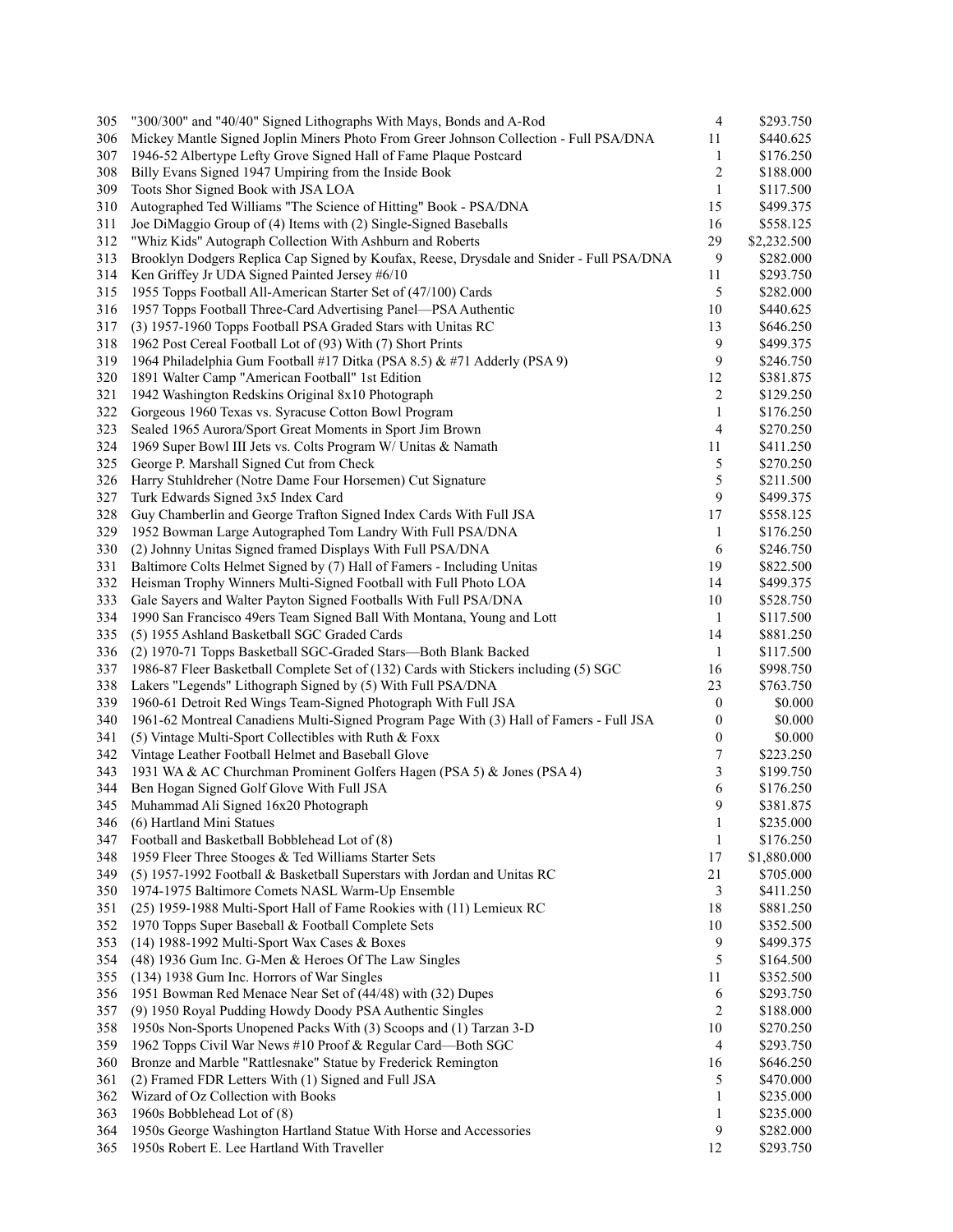| 305 | "300/300" and "40/40" Signed Lithographs With Mays, Bonds and A-Rod                      | 4                | \$293.750   |
|-----|------------------------------------------------------------------------------------------|------------------|-------------|
| 306 | Mickey Mantle Signed Joplin Miners Photo From Greer Johnson Collection - Full PSA/DNA    | 11               | \$440.625   |
| 307 | 1946-52 Albertype Lefty Grove Signed Hall of Fame Plaque Postcard                        | 1                | \$176.250   |
| 308 | Billy Evans Signed 1947 Umpiring from the Inside Book                                    | 2                | \$188.000   |
| 309 | Toots Shor Signed Book with JSA LOA                                                      | $\mathbf{1}$     | \$117.500   |
| 310 | Autographed Ted Williams "The Science of Hitting" Book - PSA/DNA                         | 15               | \$499.375   |
| 311 | Joe DiMaggio Group of (4) Items with (2) Single-Signed Baseballs                         | 16               | \$558.125   |
| 312 | "Whiz Kids" Autograph Collection With Ashburn and Roberts                                | 29               | \$2,232.500 |
| 313 | Brooklyn Dodgers Replica Cap Signed by Koufax, Reese, Drysdale and Snider - Full PSA/DNA | 9                | \$282.000   |
| 314 | Ken Griffey Jr UDA Signed Painted Jersey #6/10                                           | 11               | \$293.750   |
| 315 | 1955 Topps Football All-American Starter Set of (47/100) Cards                           | 5                | \$282.000   |
| 316 | 1957 Topps Football Three-Card Advertising Panel-PSA Authentic                           | 10               | \$440.625   |
| 317 | (3) 1957-1960 Topps Football PSA Graded Stars with Unitas RC                             | 13               | \$646.250   |
| 318 | 1962 Post Cereal Football Lot of (93) With (7) Short Prints                              | 9                | \$499.375   |
| 319 | 1964 Philadelphia Gum Football #17 Ditka (PSA 8.5) & #71 Adderly (PSA 9)                 | 9                | \$246.750   |
| 320 | 1891 Walter Camp "American Football" 1st Edition                                         | 12               | \$381.875   |
| 321 | 1942 Washington Redskins Original 8x10 Photograph                                        | 2                | \$129.250   |
| 322 | Gorgeous 1960 Texas vs. Syracuse Cotton Bowl Program                                     | 1                | \$176.250   |
|     |                                                                                          | 4                |             |
| 323 | Sealed 1965 Aurora/Sport Great Moments in Sport Jim Brown                                |                  | \$270.250   |
| 324 | 1969 Super Bowl III Jets vs. Colts Program W/ Unitas & Namath                            | 11               | \$411.250   |
| 325 | George P. Marshall Signed Cut from Check                                                 | 5                | \$270.250   |
| 326 | Harry Stuhldreher (Notre Dame Four Horsemen) Cut Signature                               | 5                | \$211.500   |
| 327 | Turk Edwards Signed 3x5 Index Card                                                       | 9                | \$499.375   |
| 328 | Guy Chamberlin and George Trafton Signed Index Cards With Full JSA                       | 17               | \$558.125   |
| 329 | 1952 Bowman Large Autographed Tom Landry With Full PSA/DNA                               | 1                | \$176.250   |
| 330 | (2) Johnny Unitas Signed framed Displays With Full PSA/DNA                               | 6                | \$246.750   |
| 331 | Baltimore Colts Helmet Signed by (7) Hall of Famers - Including Unitas                   | 19               | \$822.500   |
| 332 | Heisman Trophy Winners Multi-Signed Football with Full Photo LOA                         | 14               | \$499.375   |
| 333 | Gale Sayers and Walter Payton Signed Footballs With Full PSA/DNA                         | 10               | \$528.750   |
| 334 | 1990 San Francisco 49ers Team Signed Ball With Montana, Young and Lott                   | $\mathbf{1}$     | \$117.500   |
| 335 | (5) 1955 Ashland Basketball SGC Graded Cards                                             | 14               | \$881.250   |
| 336 | (2) 1970-71 Topps Basketball SGC-Graded Stars—Both Blank Backed                          | 1                | \$117.500   |
| 337 | 1986-87 Fleer Basketball Complete Set of (132) Cards with Stickers including (5) SGC     | 16               | \$998.750   |
| 338 | Lakers "Legends" Lithograph Signed by (5) With Full PSA/DNA                              | 23               | \$763.750   |
| 339 | 1960-61 Detroit Red Wings Team-Signed Photograph With Full JSA                           | $\boldsymbol{0}$ | \$0.000     |
| 340 | 1961-62 Montreal Canadiens Multi-Signed Program Page With (3) Hall of Famers - Full JSA  | 0                | \$0.000     |
| 341 | (5) Vintage Multi-Sport Collectibles with Ruth & Foxx                                    | $\boldsymbol{0}$ | \$0.000     |
| 342 | Vintage Leather Football Helmet and Baseball Glove                                       | 7                | \$223.250   |
| 343 | 1931 WA & AC Churchman Prominent Golfers Hagen (PSA 5) & Jones (PSA 4)                   | 3                | \$199.750   |
| 344 | Ben Hogan Signed Golf Glove With Full JSA                                                | 6                | \$176.250   |
| 345 | Muhammad Ali Signed 16x20 Photograph                                                     | 9                | \$381.875   |
| 346 | (6) Hartland Mini Statues                                                                | $\mathbf{1}$     | \$235.000   |
| 347 | Football and Basketball Bobblehead Lot of (8)                                            | $\mathbf{1}$     | \$176.250   |
| 348 | 1959 Fleer Three Stooges & Ted Williams Starter Sets                                     | 17               | \$1,880.000 |
| 349 | (5) 1957-1992 Football & Basketball Superstars with Jordan and Unitas RC                 | 21               | \$705.000   |
| 350 | 1974-1975 Baltimore Comets NASL Warm-Up Ensemble                                         | 3                | \$411.250   |
| 351 | (25) 1959-1988 Multi-Sport Hall of Fame Rookies with (11) Lemieux RC                     | 18               | \$881.250   |
| 352 | 1970 Topps Super Baseball & Football Complete Sets                                       | 10               | \$352.500   |
| 353 | (14) 1988-1992 Multi-Sport Wax Cases & Boxes                                             | 9                | \$499.375   |
| 354 | (48) 1936 Gum Inc. G-Men & Heroes Of The Law Singles                                     | 5                | \$164.500   |
| 355 | (134) 1938 Gum Inc. Horrors of War Singles                                               | 11               | \$352.500   |
| 356 | 1951 Bowman Red Menace Near Set of (44/48) with (32) Dupes                               | 6                | \$293.750   |
| 357 | (9) 1950 Royal Pudding Howdy Doody PSA Authentic Singles                                 | 2                | \$188.000   |
| 358 | 1950s Non-Sports Unopened Packs With (3) Scoops and (1) Tarzan 3-D                       | 10               | \$270.250   |
| 359 | 1962 Topps Civil War News #10 Proof & Regular Card-Both SGC                              | 4                | \$293.750   |
| 360 | Bronze and Marble "Rattlesnake" Statue by Frederick Remington                            | 16               | \$646.250   |
| 361 | (2) Framed FDR Letters With (1) Signed and Full JSA                                      | 5                | \$470.000   |
| 362 | Wizard of Oz Collection with Books                                                       | 1                | \$235.000   |
| 363 | 1960s Bobblehead Lot of (8)                                                              | 1                | \$235.000   |
| 364 | 1950s George Washington Hartland Statue With Horse and Accessories                       | 9                | \$282.000   |
| 365 | 1950s Robert E. Lee Hartland With Traveller                                              | 12               | \$293.750   |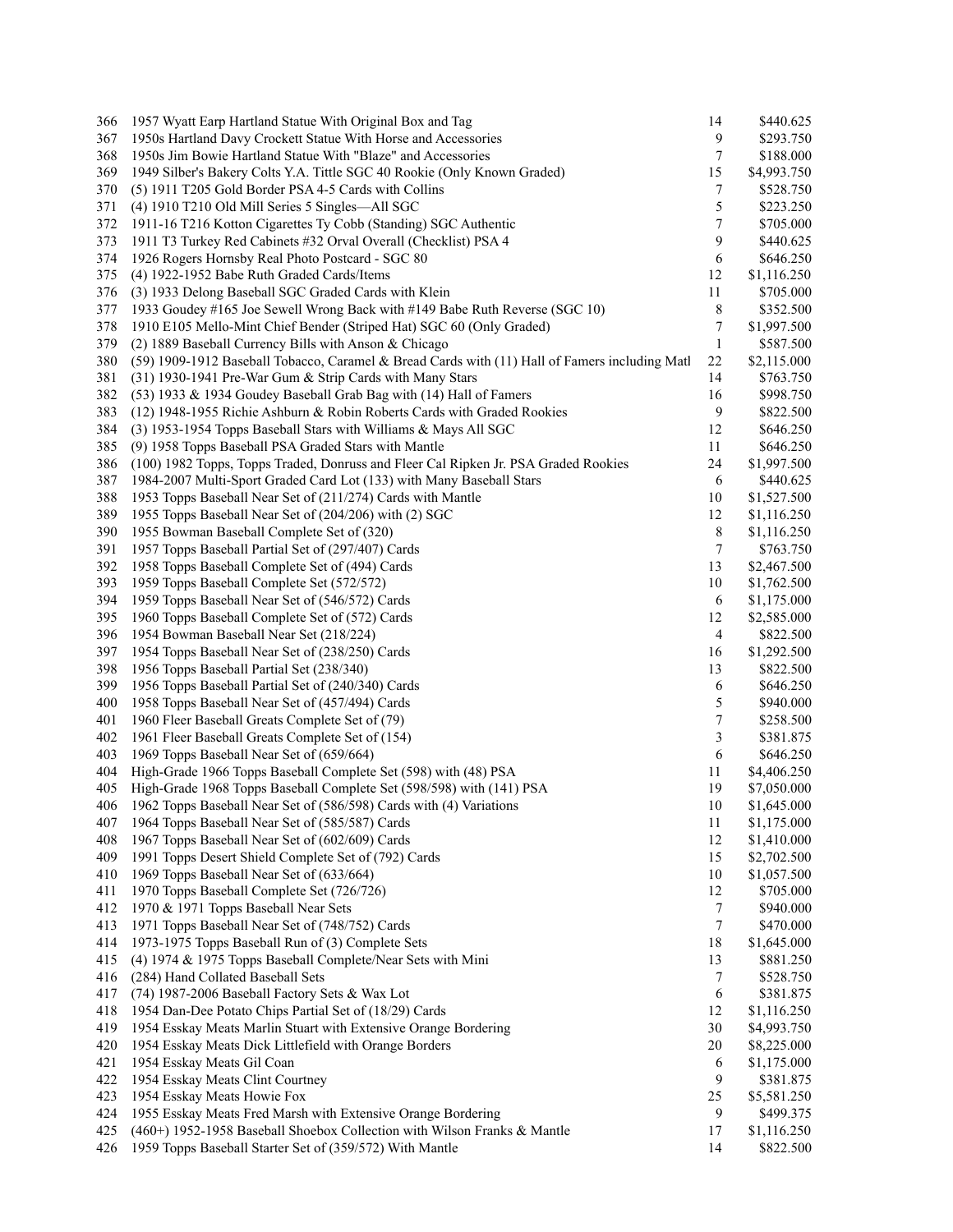| 366 | 1957 Wyatt Earp Hartland Statue With Original Box and Tag                                      | 14             | \$440.625   |
|-----|------------------------------------------------------------------------------------------------|----------------|-------------|
| 367 | 1950s Hartland Davy Crockett Statue With Horse and Accessories                                 | 9              | \$293.750   |
| 368 | 1950s Jim Bowie Hartland Statue With "Blaze" and Accessories                                   | 7              | \$188.000   |
| 369 | 1949 Silber's Bakery Colts Y.A. Tittle SGC 40 Rookie (Only Known Graded)                       | 15             | \$4,993.750 |
| 370 | (5) 1911 T205 Gold Border PSA 4-5 Cards with Collins                                           | 7              | \$528.750   |
| 371 | (4) 1910 T210 Old Mill Series 5 Singles—All SGC                                                | 5              | \$223.250   |
| 372 | 1911-16 T216 Kotton Cigarettes Ty Cobb (Standing) SGC Authentic                                | 7              | \$705.000   |
| 373 | 1911 T3 Turkey Red Cabinets #32 Orval Overall (Checklist) PSA 4                                | 9              | \$440.625   |
| 374 | 1926 Rogers Hornsby Real Photo Postcard - SGC 80                                               | 6              | \$646.250   |
| 375 | (4) 1922-1952 Babe Ruth Graded Cards/Items                                                     | 12             | \$1,116.250 |
| 376 | (3) 1933 Delong Baseball SGC Graded Cards with Klein                                           | 11             | \$705.000   |
| 377 | 1933 Goudey #165 Joe Sewell Wrong Back with #149 Babe Ruth Reverse (SGC 10)                    | 8              | \$352.500   |
| 378 |                                                                                                | 7              |             |
|     | 1910 E105 Mello-Mint Chief Bender (Striped Hat) SGC 60 (Only Graded)                           |                | \$1,997.500 |
| 379 | (2) 1889 Baseball Currency Bills with Anson & Chicago                                          | 1              | \$587.500   |
| 380 | (59) 1909-1912 Baseball Tobacco, Caramel & Bread Cards with (11) Hall of Famers including Matl | 22             | \$2,115.000 |
| 381 | (31) 1930-1941 Pre-War Gum & Strip Cards with Many Stars                                       | 14             | \$763.750   |
| 382 | $(53)$ 1933 & 1934 Goudey Baseball Grab Bag with $(14)$ Hall of Famers                         | 16             | \$998.750   |
| 383 | (12) 1948-1955 Richie Ashburn & Robin Roberts Cards with Graded Rookies                        | 9              | \$822.500   |
| 384 | (3) 1953-1954 Topps Baseball Stars with Williams & Mays All SGC                                | 12             | \$646.250   |
| 385 | (9) 1958 Topps Baseball PSA Graded Stars with Mantle                                           | 11             | \$646.250   |
| 386 | (100) 1982 Topps, Topps Traded, Donruss and Fleer Cal Ripken Jr. PSA Graded Rookies            | 24             | \$1,997.500 |
| 387 | 1984-2007 Multi-Sport Graded Card Lot (133) with Many Baseball Stars                           | 6              | \$440.625   |
| 388 | 1953 Topps Baseball Near Set of (211/274) Cards with Mantle                                    | 10             | \$1,527.500 |
| 389 | 1955 Topps Baseball Near Set of (204/206) with (2) SGC                                         | 12             | \$1,116.250 |
| 390 | 1955 Bowman Baseball Complete Set of (320)                                                     | 8              | \$1,116.250 |
| 391 | 1957 Topps Baseball Partial Set of (297/407) Cards                                             | 7              | \$763.750   |
| 392 | 1958 Topps Baseball Complete Set of (494) Cards                                                | 13             | \$2,467.500 |
| 393 | 1959 Topps Baseball Complete Set (572/572)                                                     | 10             | \$1,762.500 |
| 394 | 1959 Topps Baseball Near Set of (546/572) Cards                                                | 6              | \$1,175.000 |
| 395 | 1960 Topps Baseball Complete Set of (572) Cards                                                | 12             | \$2,585.000 |
| 396 | 1954 Bowman Baseball Near Set (218/224)                                                        | $\overline{4}$ | \$822.500   |
| 397 | 1954 Topps Baseball Near Set of (238/250) Cards                                                | 16             | \$1,292.500 |
| 398 | 1956 Topps Baseball Partial Set (238/340)                                                      | 13             | \$822.500   |
| 399 | 1956 Topps Baseball Partial Set of (240/340) Cards                                             | 6              | \$646.250   |
| 400 |                                                                                                | 5              |             |
|     | 1958 Topps Baseball Near Set of (457/494) Cards                                                |                | \$940.000   |
| 401 | 1960 Fleer Baseball Greats Complete Set of (79)                                                | 7              | \$258.500   |
| 402 | 1961 Fleer Baseball Greats Complete Set of (154)                                               | 3              | \$381.875   |
| 403 | 1969 Topps Baseball Near Set of (659/664)                                                      | 6              | \$646.250   |
| 404 | High-Grade 1966 Topps Baseball Complete Set (598) with (48) PSA                                | 11             | \$4,406.250 |
| 405 | High-Grade 1968 Topps Baseball Complete Set (598/598) with (141) PSA                           | 19             | \$7,050.000 |
| 406 | 1962 Topps Baseball Near Set of (586/598) Cards with (4) Variations                            | 10             | \$1,645.000 |
| 407 | 1964 Topps Baseball Near Set of (585/587) Cards                                                | 11             | \$1,175.000 |
| 408 | 1967 Topps Baseball Near Set of (602/609) Cards                                                | 12             | \$1,410.000 |
| 409 | 1991 Topps Desert Shield Complete Set of (792) Cards                                           | 15             | \$2,702.500 |
| 410 | 1969 Topps Baseball Near Set of (633/664)                                                      | 10             | \$1,057.500 |
| 411 | 1970 Topps Baseball Complete Set (726/726)                                                     | 12             | \$705.000   |
| 412 | 1970 & 1971 Topps Baseball Near Sets                                                           | 7              | \$940.000   |
| 413 | 1971 Topps Baseball Near Set of (748/752) Cards                                                | 7              | \$470.000   |
| 414 | 1973-1975 Topps Baseball Run of (3) Complete Sets                                              | 18             | \$1,645.000 |
| 415 | (4) 1974 & 1975 Topps Baseball Complete/Near Sets with Mini                                    | 13             | \$881.250   |
| 416 | (284) Hand Collated Baseball Sets                                                              | 7              | \$528.750   |
| 417 | (74) 1987-2006 Baseball Factory Sets & Wax Lot                                                 | 6              | \$381.875   |
| 418 | 1954 Dan-Dee Potato Chips Partial Set of (18/29) Cards                                         | 12             | \$1,116.250 |
| 419 | 1954 Esskay Meats Marlin Stuart with Extensive Orange Bordering                                | 30             | \$4,993.750 |
|     |                                                                                                |                |             |
| 420 | 1954 Esskay Meats Dick Littlefield with Orange Borders                                         | 20             | \$8,225.000 |
| 421 | 1954 Esskay Meats Gil Coan                                                                     | 6              | \$1,175.000 |
| 422 | 1954 Esskay Meats Clint Courtney                                                               | 9              | \$381.875   |
| 423 | 1954 Esskay Meats Howie Fox                                                                    | 25             | \$5,581.250 |
| 424 | 1955 Esskay Meats Fred Marsh with Extensive Orange Bordering                                   | 9              | \$499.375   |
| 425 | (460+) 1952-1958 Baseball Shoebox Collection with Wilson Franks & Mantle                       | 17             | \$1,116.250 |
| 426 | 1959 Topps Baseball Starter Set of (359/572) With Mantle                                       | 14             | \$822.500   |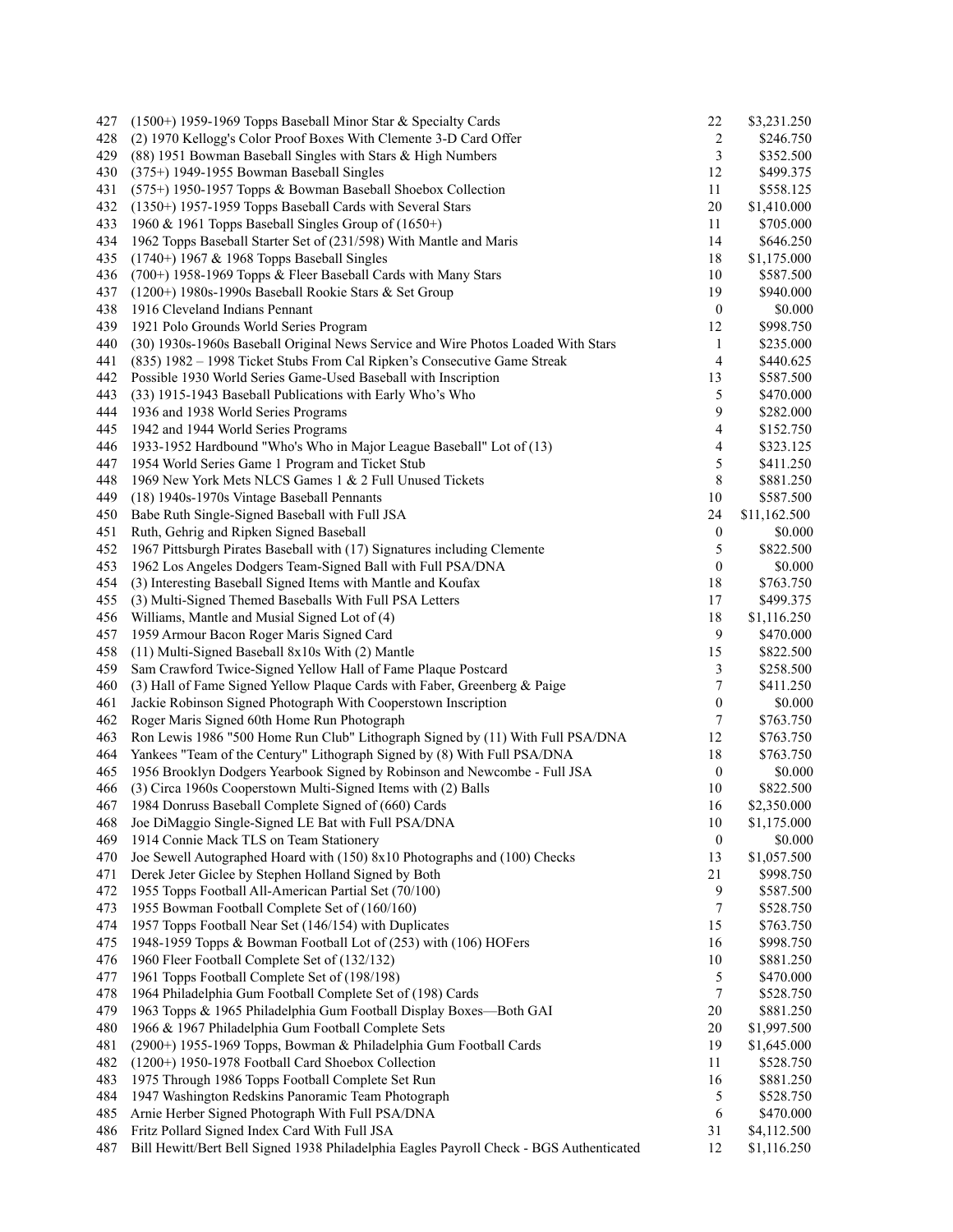| 427 | (1500+) 1959-1969 Topps Baseball Minor Star & Specialty Cards                           | 22               | \$3,231.250  |
|-----|-----------------------------------------------------------------------------------------|------------------|--------------|
| 428 | (2) 1970 Kellogg's Color Proof Boxes With Clemente 3-D Card Offer                       | 2                | \$246.750    |
| 429 | (88) 1951 Bowman Baseball Singles with Stars & High Numbers                             | 3                | \$352.500    |
| 430 | $(375+)$ 1949-1955 Bowman Baseball Singles                                              | 12               | \$499.375    |
| 431 | (575+) 1950-1957 Topps & Bowman Baseball Shoebox Collection                             | 11               | \$558.125    |
| 432 | (1350+) 1957-1959 Topps Baseball Cards with Several Stars                               | 20               | \$1,410.000  |
| 433 | 1960 & 1961 Topps Baseball Singles Group of $(1650+)$                                   | 11               | \$705.000    |
| 434 | 1962 Topps Baseball Starter Set of (231/598) With Mantle and Maris                      | 14               | \$646.250    |
| 435 | $(1740+)$ 1967 & 1968 Topps Baseball Singles                                            | 18               | \$1,175.000  |
| 436 | (700+) 1958-1969 Topps & Fleer Baseball Cards with Many Stars                           | 10               | \$587.500    |
| 437 | $(1200+)$ 1980s-1990s Baseball Rookie Stars & Set Group                                 | 19               | \$940.000    |
| 438 | 1916 Cleveland Indians Pennant                                                          | $\boldsymbol{0}$ | \$0.000      |
| 439 | 1921 Polo Grounds World Series Program                                                  | 12               | \$998.750    |
| 440 |                                                                                         |                  | \$235.000    |
|     | (30) 1930s-1960s Baseball Original News Service and Wire Photos Loaded With Stars       | 1                |              |
| 441 | (835) 1982 – 1998 Ticket Stubs From Cal Ripken's Consecutive Game Streak                | 4                | \$440.625    |
| 442 | Possible 1930 World Series Game-Used Baseball with Inscription                          | 13               | \$587.500    |
| 443 | (33) 1915-1943 Baseball Publications with Early Who's Who                               | 5                | \$470.000    |
| 444 | 1936 and 1938 World Series Programs                                                     | 9                | \$282.000    |
| 445 | 1942 and 1944 World Series Programs                                                     | 4                | \$152.750    |
| 446 | 1933-1952 Hardbound "Who's Who in Major League Baseball" Lot of (13)                    | 4                | \$323.125    |
| 447 | 1954 World Series Game 1 Program and Ticket Stub                                        | 5                | \$411.250    |
| 448 | 1969 New York Mets NLCS Games 1 & 2 Full Unused Tickets                                 | 8                | \$881.250    |
| 449 | (18) 1940s-1970s Vintage Baseball Pennants                                              | 10               | \$587.500    |
| 450 | Babe Ruth Single-Signed Baseball with Full JSA                                          | 24               | \$11,162.500 |
| 451 | Ruth, Gehrig and Ripken Signed Baseball                                                 | $\boldsymbol{0}$ | \$0.000      |
| 452 | 1967 Pittsburgh Pirates Baseball with (17) Signatures including Clemente                | 5                | \$822.500    |
| 453 | 1962 Los Angeles Dodgers Team-Signed Ball with Full PSA/DNA                             | $\theta$         | \$0.000      |
| 454 | (3) Interesting Baseball Signed Items with Mantle and Koufax                            | 18               | \$763.750    |
| 455 | (3) Multi-Signed Themed Baseballs With Full PSA Letters                                 | 17               | \$499.375    |
| 456 | Williams, Mantle and Musial Signed Lot of (4)                                           | 18               | \$1,116.250  |
| 457 | 1959 Armour Bacon Roger Maris Signed Card                                               | 9                | \$470.000    |
| 458 | (11) Multi-Signed Baseball 8x10s With (2) Mantle                                        | 15               | \$822.500    |
| 459 |                                                                                         |                  | \$258.500    |
|     | Sam Crawford Twice-Signed Yellow Hall of Fame Plaque Postcard                           | 3                |              |
| 460 | (3) Hall of Fame Signed Yellow Plaque Cards with Faber, Greenberg & Paige               | 7                | \$411.250    |
| 461 | Jackie Robinson Signed Photograph With Cooperstown Inscription                          | $\boldsymbol{0}$ | \$0.000      |
| 462 | Roger Maris Signed 60th Home Run Photograph                                             | 7                | \$763.750    |
| 463 | Ron Lewis 1986 "500 Home Run Club" Lithograph Signed by (11) With Full PSA/DNA          | 12               | \$763.750    |
| 464 | Yankees "Team of the Century" Lithograph Signed by (8) With Full PSA/DNA                | 18               | \$763.750    |
| 465 | 1956 Brooklyn Dodgers Yearbook Signed by Robinson and Newcombe - Full JSA               | $\boldsymbol{0}$ | \$0.000      |
| 466 | (3) Circa 1960s Cooperstown Multi-Signed Items with (2) Balls                           | 10               | \$822.500    |
| 467 | 1984 Donruss Baseball Complete Signed of (660) Cards                                    | 16               | \$2,350.000  |
| 468 | Joe DiMaggio Single-Signed LE Bat with Full PSA/DNA                                     | 10               | \$1,175.000  |
| 469 | 1914 Connie Mack TLS on Team Stationery                                                 | $\boldsymbol{0}$ | \$0.000      |
| 470 | Joe Sewell Autographed Hoard with (150) 8x10 Photographs and (100) Checks               | 13               | \$1,057.500  |
| 471 | Derek Jeter Giclee by Stephen Holland Signed by Both                                    | 21               | \$998.750    |
| 472 | 1955 Topps Football All-American Partial Set (70/100)                                   | 9                | \$587.500    |
| 473 | 1955 Bowman Football Complete Set of (160/160)                                          | 7                | \$528.750    |
| 474 | 1957 Topps Football Near Set (146/154) with Duplicates                                  | 15               | \$763.750    |
| 475 | 1948-1959 Topps & Bowman Football Lot of (253) with (106) HOFers                        | 16               | \$998.750    |
| 476 | 1960 Fleer Football Complete Set of (132/132)                                           | 10               | \$881.250    |
| 477 | 1961 Topps Football Complete Set of (198/198)                                           | 5                | \$470.000    |
| 478 | 1964 Philadelphia Gum Football Complete Set of (198) Cards                              | 7                | \$528.750    |
| 479 | 1963 Topps & 1965 Philadelphia Gum Football Display Boxes-Both GAI                      | 20               | \$881.250    |
|     |                                                                                         |                  |              |
| 480 | 1966 & 1967 Philadelphia Gum Football Complete Sets                                     | 20               | \$1,997.500  |
| 481 | (2900+) 1955-1969 Topps, Bowman & Philadelphia Gum Football Cards                       | 19               | \$1,645.000  |
| 482 | (1200+) 1950-1978 Football Card Shoebox Collection                                      | 11               | \$528.750    |
| 483 | 1975 Through 1986 Topps Football Complete Set Run                                       | 16               | \$881.250    |
| 484 | 1947 Washington Redskins Panoramic Team Photograph                                      | 5                | \$528.750    |
| 485 | Arnie Herber Signed Photograph With Full PSA/DNA                                        | 6                | \$470.000    |
| 486 | Fritz Pollard Signed Index Card With Full JSA                                           | 31               | \$4,112.500  |
| 487 | Bill Hewitt/Bert Bell Signed 1938 Philadelphia Eagles Payroll Check - BGS Authenticated | 12               | \$1,116.250  |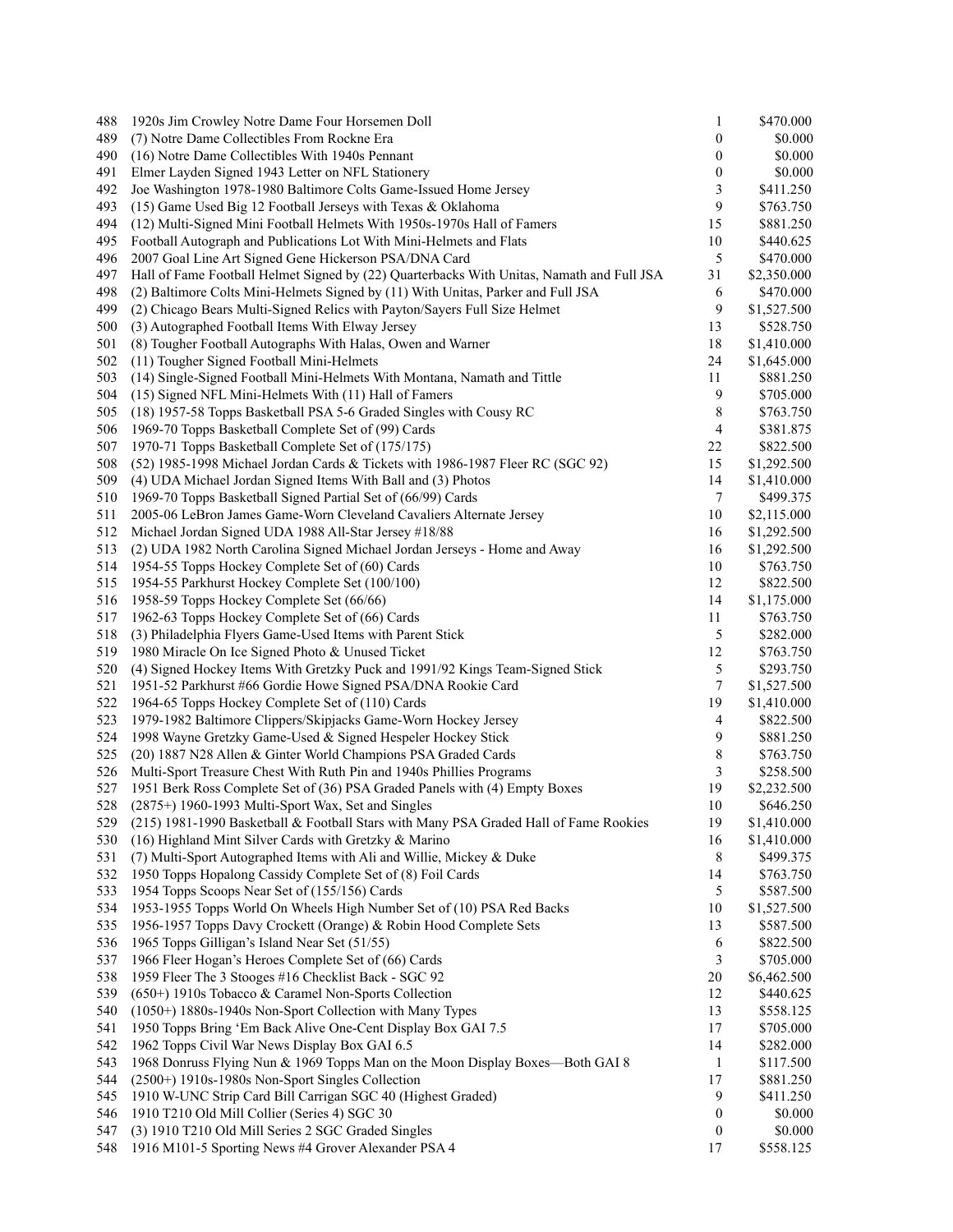| 488 | 1920s Jim Crowley Notre Dame Four Horsemen Doll                                           | 1                | \$470.000   |
|-----|-------------------------------------------------------------------------------------------|------------------|-------------|
| 489 | (7) Notre Dame Collectibles From Rockne Era                                               | $\boldsymbol{0}$ | \$0.000     |
| 490 | (16) Notre Dame Collectibles With 1940s Pennant                                           | $\theta$         | \$0.000     |
| 491 | Elmer Layden Signed 1943 Letter on NFL Stationery                                         | $\boldsymbol{0}$ | \$0.000     |
| 492 | Joe Washington 1978-1980 Baltimore Colts Game-Issued Home Jersey                          | 3                | \$411.250   |
| 493 | (15) Game Used Big 12 Football Jerseys with Texas & Oklahoma                              | 9                | \$763.750   |
| 494 | (12) Multi-Signed Mini Football Helmets With 1950s-1970s Hall of Famers                   | 15               | \$881.250   |
| 495 | Football Autograph and Publications Lot With Mini-Helmets and Flats                       | 10               | \$440.625   |
| 496 | 2007 Goal Line Art Signed Gene Hickerson PSA/DNA Card                                     | 5                | \$470.000   |
| 497 | Hall of Fame Football Helmet Signed by (22) Quarterbacks With Unitas, Namath and Full JSA | 31               | \$2,350.000 |
| 498 | (2) Baltimore Colts Mini-Helmets Signed by (11) With Unitas, Parker and Full JSA          | 6                | \$470.000   |
| 499 | (2) Chicago Bears Multi-Signed Relics with Payton/Sayers Full Size Helmet                 | 9                | \$1,527.500 |
| 500 | (3) Autographed Football Items With Elway Jersey                                          | 13               | \$528.750   |
| 501 | (8) Tougher Football Autographs With Halas, Owen and Warner                               | 18               | \$1,410.000 |
| 502 | (11) Tougher Signed Football Mini-Helmets                                                 | 24               | \$1,645.000 |
| 503 | (14) Single-Signed Football Mini-Helmets With Montana, Namath and Tittle                  | 11               | \$881.250   |
| 504 | (15) Signed NFL Mini-Helmets With (11) Hall of Famers                                     | 9                | \$705.000   |
| 505 | (18) 1957-58 Topps Basketball PSA 5-6 Graded Singles with Cousy RC                        | 8                | \$763.750   |
| 506 | 1969-70 Topps Basketball Complete Set of (99) Cards                                       | 4                | \$381.875   |
| 507 | 1970-71 Topps Basketball Complete Set of (175/175)                                        | 22               | \$822.500   |
| 508 | (52) 1985-1998 Michael Jordan Cards & Tickets with 1986-1987 Fleer RC (SGC 92)            | 15               | \$1,292.500 |
| 509 | (4) UDA Michael Jordan Signed Items With Ball and (3) Photos                              | 14               | \$1,410.000 |
| 510 | 1969-70 Topps Basketball Signed Partial Set of (66/99) Cards                              | 7                |             |
|     |                                                                                           |                  | \$499.375   |
| 511 | 2005-06 LeBron James Game-Worn Cleveland Cavaliers Alternate Jersey                       | 10               | \$2,115.000 |
| 512 | Michael Jordan Signed UDA 1988 All-Star Jersey #18/88                                     | 16               | \$1,292.500 |
| 513 | (2) UDA 1982 North Carolina Signed Michael Jordan Jerseys - Home and Away                 | 16               | \$1,292.500 |
| 514 | 1954-55 Topps Hockey Complete Set of (60) Cards                                           | 10               | \$763.750   |
| 515 | 1954-55 Parkhurst Hockey Complete Set (100/100)                                           | 12               | \$822.500   |
| 516 | 1958-59 Topps Hockey Complete Set (66/66)                                                 | 14               | \$1,175.000 |
| 517 | 1962-63 Topps Hockey Complete Set of (66) Cards                                           | 11               | \$763.750   |
| 518 | (3) Philadelphia Flyers Game-Used Items with Parent Stick                                 | 5                | \$282.000   |
| 519 | 1980 Miracle On Ice Signed Photo & Unused Ticket                                          | 12               | \$763.750   |
| 520 | (4) Signed Hockey Items With Gretzky Puck and 1991/92 Kings Team-Signed Stick             | 5                | \$293.750   |
| 521 | 1951-52 Parkhurst #66 Gordie Howe Signed PSA/DNA Rookie Card                              | 7                | \$1,527.500 |
| 522 | 1964-65 Topps Hockey Complete Set of (110) Cards                                          | 19               | \$1,410.000 |
| 523 | 1979-1982 Baltimore Clippers/Skipjacks Game-Worn Hockey Jersey                            | 4                | \$822.500   |
| 524 | 1998 Wayne Gretzky Game-Used & Signed Hespeler Hockey Stick                               | 9                | \$881.250   |
| 525 | (20) 1887 N28 Allen & Ginter World Champions PSA Graded Cards                             | 8                | \$763.750   |
| 526 | Multi-Sport Treasure Chest With Ruth Pin and 1940s Phillies Programs                      | 3                | \$258.500   |
| 527 | 1951 Berk Ross Complete Set of (36) PSA Graded Panels with (4) Empty Boxes                | 19               | \$2,232.500 |
| 528 | (2875+) 1960-1993 Multi-Sport Wax, Set and Singles                                        | 10               | \$646.250   |
| 529 | (215) 1981-1990 Basketball & Football Stars with Many PSA Graded Hall of Fame Rookies     | 19               | \$1,410.000 |
| 530 | (16) Highland Mint Silver Cards with Gretzky & Marino                                     | 16               | \$1,410.000 |
| 531 | (7) Multi-Sport Autographed Items with Ali and Willie, Mickey & Duke                      | 8                | \$499.375   |
| 532 | 1950 Topps Hopalong Cassidy Complete Set of (8) Foil Cards                                | 14               | \$763.750   |
| 533 | 1954 Topps Scoops Near Set of (155/156) Cards                                             | $\sqrt{5}$       | \$587.500   |
| 534 | 1953-1955 Topps World On Wheels High Number Set of (10) PSA Red Backs                     | 10               | \$1,527.500 |
| 535 | 1956-1957 Topps Davy Crockett (Orange) & Robin Hood Complete Sets                         | 13               | \$587.500   |
| 536 | 1965 Topps Gilligan's Island Near Set (51/55)                                             | 6                | \$822.500   |
| 537 | 1966 Fleer Hogan's Heroes Complete Set of (66) Cards                                      | 3                | \$705.000   |
| 538 | 1959 Fleer The 3 Stooges #16 Checklist Back - SGC 92                                      | 20               | \$6,462.500 |
| 539 | (650+) 1910s Tobacco & Caramel Non-Sports Collection                                      | 12               | \$440.625   |
| 540 | (1050+) 1880s-1940s Non-Sport Collection with Many Types                                  | 13               | \$558.125   |
| 541 | 1950 Topps Bring 'Em Back Alive One-Cent Display Box GAI 7.5                              | 17               | \$705.000   |
| 542 | 1962 Topps Civil War News Display Box GAI 6.5                                             | 14               | \$282.000   |
| 543 | 1968 Donruss Flying Nun & 1969 Topps Man on the Moon Display Boxes-Both GAI 8             | 1                | \$117.500   |
| 544 | (2500+) 1910s-1980s Non-Sport Singles Collection                                          | 17               | \$881.250   |
| 545 | 1910 W-UNC Strip Card Bill Carrigan SGC 40 (Highest Graded)                               | 9                | \$411.250   |
| 546 | 1910 T210 Old Mill Collier (Series 4) SGC 30                                              | $\boldsymbol{0}$ | \$0.000     |
| 547 | (3) 1910 T210 Old Mill Series 2 SGC Graded Singles                                        | 0                | $\$0.000$   |
| 548 | 1916 M101-5 Sporting News #4 Grover Alexander PSA 4                                       | 17               | \$558.125   |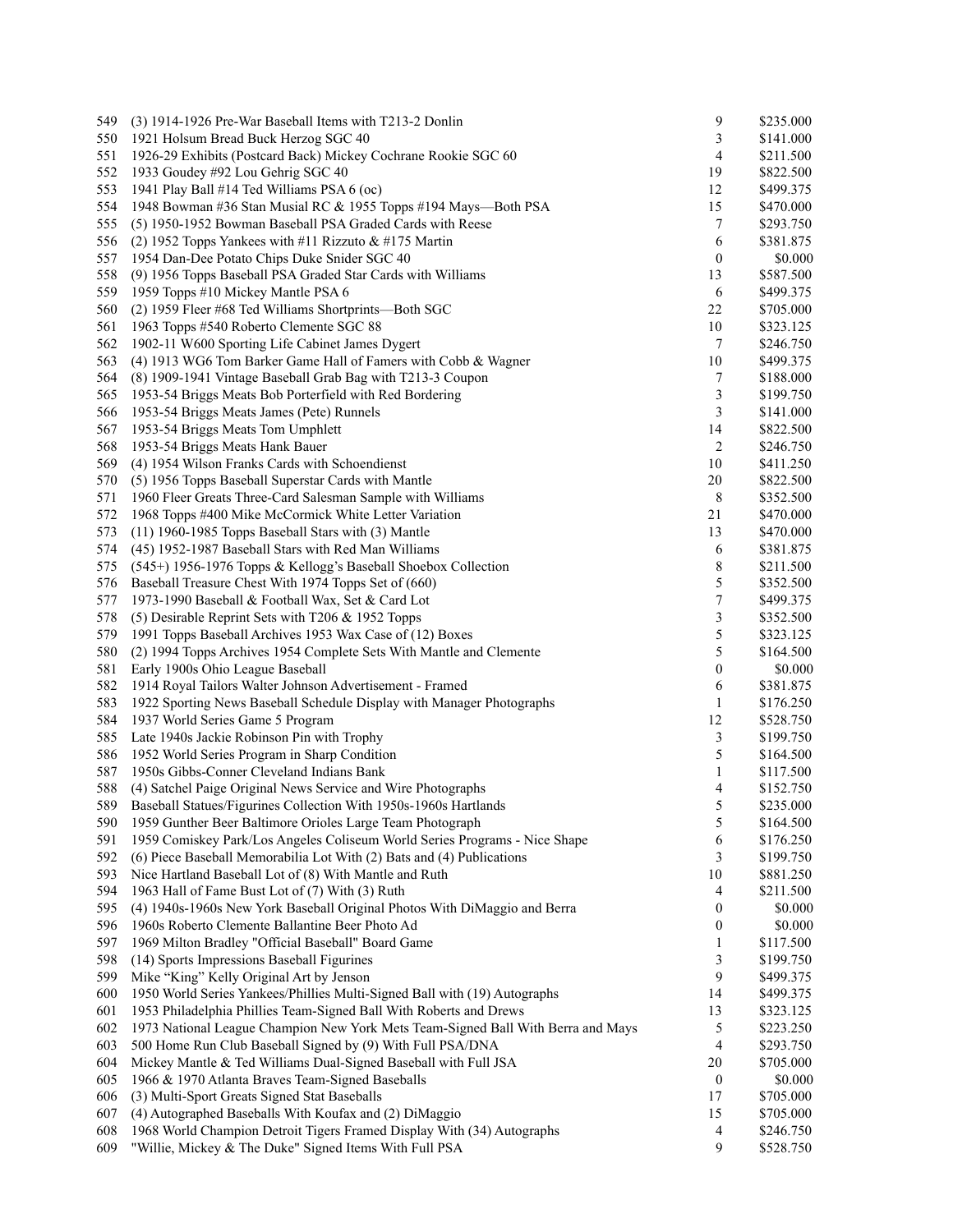| 549 | (3) 1914-1926 Pre-War Baseball Items with T213-2 Donlin                          | 9                | \$235.000 |
|-----|----------------------------------------------------------------------------------|------------------|-----------|
| 550 | 1921 Holsum Bread Buck Herzog SGC 40                                             | 3                | \$141.000 |
| 551 | 1926-29 Exhibits (Postcard Back) Mickey Cochrane Rookie SGC 60                   | 4                | \$211.500 |
| 552 | 1933 Goudey #92 Lou Gehrig SGC 40                                                | 19               | \$822.500 |
| 553 | 1941 Play Ball #14 Ted Williams PSA 6 (oc)                                       | 12               | \$499.375 |
| 554 | 1948 Bowman #36 Stan Musial RC & 1955 Topps #194 Mays-Both PSA                   | 15               | \$470.000 |
| 555 | (5) 1950-1952 Bowman Baseball PSA Graded Cards with Reese                        | 7                | \$293.750 |
| 556 | (2) 1952 Topps Yankees with #11 Rizzuto $& 4175$ Martin                          | 6                | \$381.875 |
| 557 | 1954 Dan-Dee Potato Chips Duke Snider SGC 40                                     | $\boldsymbol{0}$ | \$0.000   |
| 558 | (9) 1956 Topps Baseball PSA Graded Star Cards with Williams                      | 13               | \$587.500 |
| 559 | 1959 Topps #10 Mickey Mantle PSA 6                                               | 6                | \$499.375 |
| 560 | (2) 1959 Fleer #68 Ted Williams Shortprints-Both SGC                             | 22               | \$705.000 |
|     |                                                                                  |                  |           |
| 561 | 1963 Topps #540 Roberto Clemente SGC 88                                          | 10               | \$323.125 |
| 562 | 1902-11 W600 Sporting Life Cabinet James Dygert                                  | 7                | \$246.750 |
| 563 | (4) 1913 WG6 Tom Barker Game Hall of Famers with Cobb & Wagner                   | 10               | \$499.375 |
| 564 | (8) 1909-1941 Vintage Baseball Grab Bag with T213-3 Coupon                       | 7                | \$188.000 |
| 565 | 1953-54 Briggs Meats Bob Porterfield with Red Bordering                          | 3                | \$199.750 |
| 566 | 1953-54 Briggs Meats James (Pete) Runnels                                        | 3                | \$141.000 |
| 567 | 1953-54 Briggs Meats Tom Umphlett                                                | 14               | \$822.500 |
| 568 | 1953-54 Briggs Meats Hank Bauer                                                  | 2                | \$246.750 |
| 569 | (4) 1954 Wilson Franks Cards with Schoendienst                                   | 10               | \$411.250 |
| 570 | (5) 1956 Topps Baseball Superstar Cards with Mantle                              | 20               | \$822.500 |
| 571 | 1960 Fleer Greats Three-Card Salesman Sample with Williams                       | 8                | \$352.500 |
| 572 | 1968 Topps #400 Mike McCormick White Letter Variation                            | 21               | \$470.000 |
| 573 | $(11)$ 1960-1985 Topps Baseball Stars with $(3)$ Mantle                          | 13               | \$470.000 |
| 574 | (45) 1952-1987 Baseball Stars with Red Man Williams                              | 6                | \$381.875 |
| 575 | (545+) 1956-1976 Topps & Kellogg's Baseball Shoebox Collection                   | 8                | \$211.500 |
| 576 | Baseball Treasure Chest With 1974 Topps Set of (660)                             | 5                | \$352.500 |
| 577 | 1973-1990 Baseball & Football Wax, Set & Card Lot                                | $\boldsymbol{7}$ | \$499.375 |
| 578 | (5) Desirable Reprint Sets with T206 $&$ 1952 Topps                              | 3                | \$352.500 |
| 579 | 1991 Topps Baseball Archives 1953 Wax Case of (12) Boxes                         | 5                | \$323.125 |
| 580 | (2) 1994 Topps Archives 1954 Complete Sets With Mantle and Clemente              | 5                | \$164.500 |
|     |                                                                                  | $\boldsymbol{0}$ |           |
| 581 | Early 1900s Ohio League Baseball                                                 |                  | \$0.000   |
| 582 | 1914 Royal Tailors Walter Johnson Advertisement - Framed                         | 6                | \$381.875 |
| 583 | 1922 Sporting News Baseball Schedule Display with Manager Photographs            | 1                | \$176.250 |
| 584 | 1937 World Series Game 5 Program                                                 | 12               | \$528.750 |
| 585 | Late 1940s Jackie Robinson Pin with Trophy                                       | 3                | \$199.750 |
| 586 | 1952 World Series Program in Sharp Condition                                     | 5                | \$164.500 |
| 587 | 1950s Gibbs-Conner Cleveland Indians Bank                                        | 1                | \$117.500 |
| 588 | (4) Satchel Paige Original News Service and Wire Photographs                     | 4                | \$152.750 |
| 589 | Baseball Statues/Figurines Collection With 1950s-1960s Hartlands                 | 5                | \$235.000 |
| 590 | 1959 Gunther Beer Baltimore Orioles Large Team Photograph                        | 5                | \$164.500 |
| 591 | 1959 Comiskey Park/Los Angeles Coliseum World Series Programs - Nice Shape       | 6                | \$176.250 |
| 592 | (6) Piece Baseball Memorabilia Lot With (2) Bats and (4) Publications            | 3                | \$199.750 |
| 593 | Nice Hartland Baseball Lot of (8) With Mantle and Ruth                           | 10               | \$881.250 |
| 594 | 1963 Hall of Fame Bust Lot of (7) With (3) Ruth                                  | 4                | \$211.500 |
| 595 | (4) 1940s-1960s New York Baseball Original Photos With DiMaggio and Berra        | $\boldsymbol{0}$ | \$0.000   |
| 596 | 1960s Roberto Clemente Ballantine Beer Photo Ad                                  | $\boldsymbol{0}$ | \$0.000   |
| 597 | 1969 Milton Bradley "Official Baseball" Board Game                               | 1                | \$117.500 |
| 598 | (14) Sports Impressions Baseball Figurines                                       | 3                | \$199.750 |
| 599 | Mike "King" Kelly Original Art by Jenson                                         | 9                | \$499.375 |
| 600 | 1950 World Series Yankees/Phillies Multi-Signed Ball with (19) Autographs        | 14               | \$499.375 |
|     | 1953 Philadelphia Phillies Team-Signed Ball With Roberts and Drews               |                  |           |
| 601 |                                                                                  | 13               | \$323.125 |
| 602 | 1973 National League Champion New York Mets Team-Signed Ball With Berra and Mays | 5                | \$223.250 |
| 603 | 500 Home Run Club Baseball Signed by (9) With Full PSA/DNA                       | $\overline{4}$   | \$293.750 |
| 604 | Mickey Mantle & Ted Williams Dual-Signed Baseball with Full JSA                  | 20               | \$705.000 |
| 605 | 1966 & 1970 Atlanta Braves Team-Signed Baseballs                                 | $\boldsymbol{0}$ | \$0.000   |
| 606 | (3) Multi-Sport Greats Signed Stat Baseballs                                     | 17               | \$705.000 |
| 607 | (4) Autographed Baseballs With Koufax and (2) DiMaggio                           | 15               | \$705.000 |
| 608 | 1968 World Champion Detroit Tigers Framed Display With (34) Autographs           | 4                | \$246.750 |
| 609 | "Willie, Mickey & The Duke" Signed Items With Full PSA                           | 9                | \$528.750 |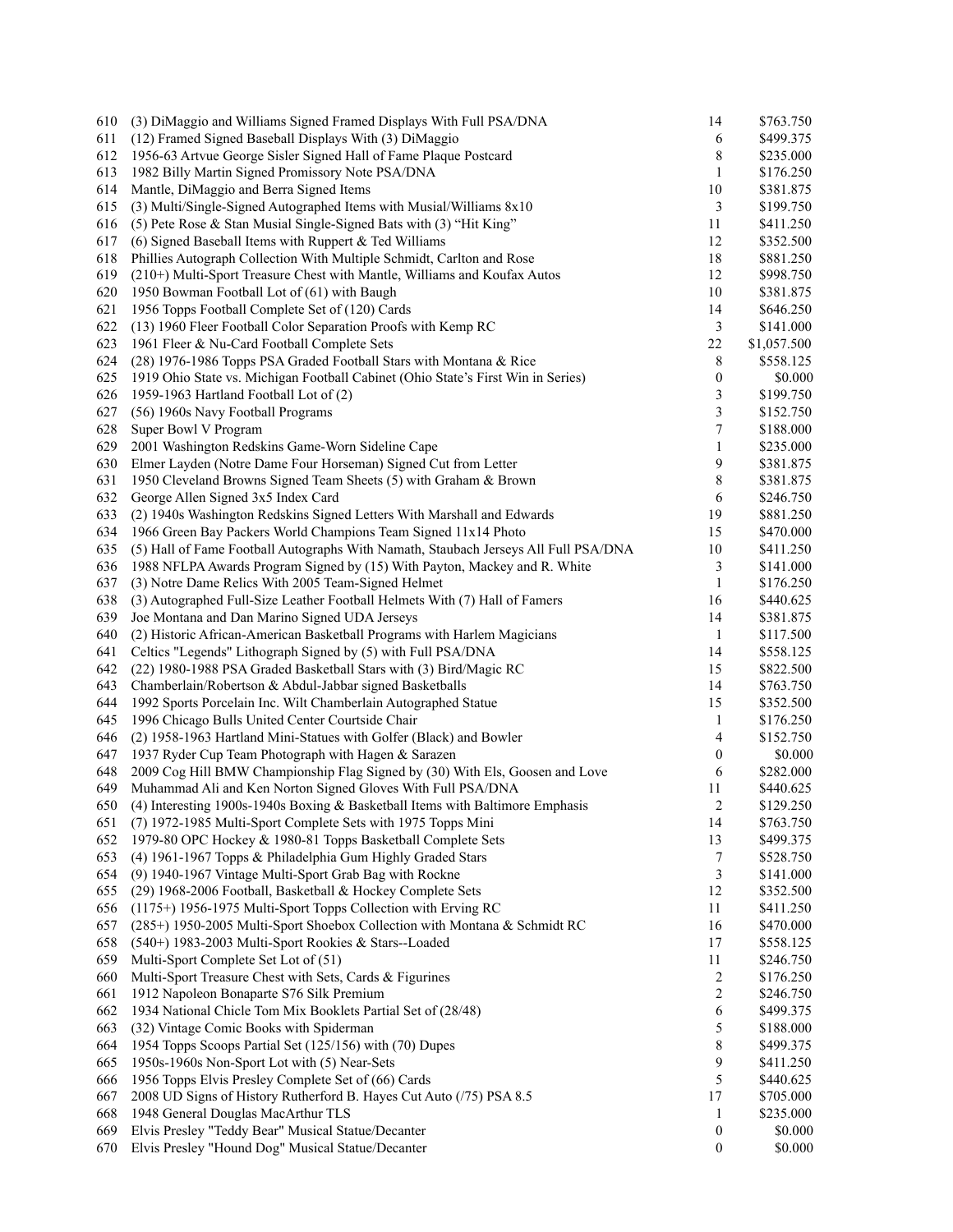| 610 | (3) DiMaggio and Williams Signed Framed Displays With Full PSA/DNA                  | 14               | \$763.750   |
|-----|-------------------------------------------------------------------------------------|------------------|-------------|
| 611 | (12) Framed Signed Baseball Displays With (3) DiMaggio                              | 6                | \$499.375   |
| 612 | 1956-63 Artvue George Sisler Signed Hall of Fame Plaque Postcard                    | 8                | \$235.000   |
| 613 | 1982 Billy Martin Signed Promissory Note PSA/DNA                                    | 1                | \$176.250   |
| 614 | Mantle, DiMaggio and Berra Signed Items                                             | 10               | \$381.875   |
| 615 | (3) Multi/Single-Signed Autographed Items with Musial/Williams 8x10                 | 3                | \$199.750   |
| 616 | (5) Pete Rose & Stan Musial Single-Signed Bats with (3) "Hit King"                  | 11               | \$411.250   |
| 617 | (6) Signed Baseball Items with Ruppert & Ted Williams                               | 12               | \$352.500   |
| 618 | Phillies Autograph Collection With Multiple Schmidt, Carlton and Rose               | 18               | \$881.250   |
| 619 | (210+) Multi-Sport Treasure Chest with Mantle, Williams and Koufax Autos            | 12               | \$998.750   |
| 620 | 1950 Bowman Football Lot of (61) with Baugh                                         | 10               | \$381.875   |
| 621 | 1956 Topps Football Complete Set of (120) Cards                                     | 14               | \$646.250   |
| 622 | (13) 1960 Fleer Football Color Separation Proofs with Kemp RC                       | 3                | \$141.000   |
| 623 | 1961 Fleer & Nu-Card Football Complete Sets                                         | 22               | \$1,057.500 |
| 624 | (28) 1976-1986 Topps PSA Graded Football Stars with Montana & Rice                  | 8                | \$558.125   |
| 625 | 1919 Ohio State vs. Michigan Football Cabinet (Ohio State's First Win in Series)    | $\boldsymbol{0}$ | \$0.000     |
| 626 | 1959-1963 Hartland Football Lot of (2)                                              | 3                | \$199.750   |
| 627 | (56) 1960s Navy Football Programs                                                   | 3                | \$152.750   |
| 628 | Super Bowl V Program                                                                | 7                | \$188.000   |
| 629 | 2001 Washington Redskins Game-Worn Sideline Cape                                    | 1                | \$235.000   |
|     | Elmer Layden (Notre Dame Four Horseman) Signed Cut from Letter                      |                  |             |
| 630 |                                                                                     | 9                | \$381.875   |
| 631 | 1950 Cleveland Browns Signed Team Sheets (5) with Graham & Brown                    | 8                | \$381.875   |
| 632 | George Allen Signed 3x5 Index Card                                                  | 6                | \$246.750   |
| 633 | (2) 1940s Washington Redskins Signed Letters With Marshall and Edwards              | 19               | \$881.250   |
| 634 | 1966 Green Bay Packers World Champions Team Signed 11x14 Photo                      | 15               | \$470.000   |
| 635 | (5) Hall of Fame Football Autographs With Namath, Staubach Jerseys All Full PSA/DNA | 10               | \$411.250   |
| 636 | 1988 NFLPA Awards Program Signed by (15) With Payton, Mackey and R. White           | 3                | \$141.000   |
| 637 | (3) Notre Dame Relics With 2005 Team-Signed Helmet                                  | 1                | \$176.250   |
| 638 | (3) Autographed Full-Size Leather Football Helmets With (7) Hall of Famers          | 16               | \$440.625   |
| 639 | Joe Montana and Dan Marino Signed UDA Jerseys                                       | 14               | \$381.875   |
| 640 | (2) Historic African-American Basketball Programs with Harlem Magicians             | $\mathbf{1}$     | \$117.500   |
| 641 | Celtics "Legends" Lithograph Signed by (5) with Full PSA/DNA                        | 14               | \$558.125   |
| 642 | (22) 1980-1988 PSA Graded Basketball Stars with (3) Bird/Magic RC                   | 15               | \$822.500   |
| 643 | Chamberlain/Robertson & Abdul-Jabbar signed Basketballs                             | 14               | \$763.750   |
| 644 | 1992 Sports Porcelain Inc. Wilt Chamberlain Autographed Statue                      | 15               | \$352.500   |
| 645 | 1996 Chicago Bulls United Center Courtside Chair                                    | 1                | \$176.250   |
| 646 | (2) 1958-1963 Hartland Mini-Statues with Golfer (Black) and Bowler                  | 4                | \$152.750   |
| 647 | 1937 Ryder Cup Team Photograph with Hagen & Sarazen                                 | 0                | \$0.000     |
| 648 | 2009 Cog Hill BMW Championship Flag Signed by (30) With Els, Goosen and Love        | 6                | \$282.000   |
| 649 | Muhammad Ali and Ken Norton Signed Gloves With Full PSA/DNA                         | 11               | \$440.625   |
| 650 | (4) Interesting 1900s-1940s Boxing $\&$ Basketball Items with Baltimore Emphasis    | 2                | \$129.250   |
| 651 | (7) 1972-1985 Multi-Sport Complete Sets with 1975 Topps Mini                        | 14               | \$763.750   |
| 652 | 1979-80 OPC Hockey & 1980-81 Topps Basketball Complete Sets                         | 13               | \$499.375   |
| 653 | (4) 1961-1967 Topps & Philadelphia Gum Highly Graded Stars                          | 7                | \$528.750   |
| 654 | (9) 1940-1967 Vintage Multi-Sport Grab Bag with Rockne                              | 3                | \$141.000   |
| 655 | (29) 1968-2006 Football, Basketball & Hockey Complete Sets                          | 12               | \$352.500   |
| 656 | (1175+) 1956-1975 Multi-Sport Topps Collection with Erving RC                       | 11               | \$411.250   |
| 657 | (285+) 1950-2005 Multi-Sport Shoebox Collection with Montana & Schmidt RC           | 16               | \$470.000   |
| 658 | (540+) 1983-2003 Multi-Sport Rookies & Stars--Loaded                                | 17               | \$558.125   |
| 659 | Multi-Sport Complete Set Lot of (51)                                                | 11               | \$246.750   |
| 660 | Multi-Sport Treasure Chest with Sets, Cards & Figurines                             | $\overline{c}$   | \$176.250   |
| 661 | 1912 Napoleon Bonaparte S76 Silk Premium                                            | 2                | \$246.750   |
| 662 | 1934 National Chicle Tom Mix Booklets Partial Set of (28/48)                        | 6                | \$499.375   |
| 663 | (32) Vintage Comic Books with Spiderman                                             | 5                | \$188.000   |
| 664 | 1954 Topps Scoops Partial Set (125/156) with (70) Dupes                             | 8                | \$499.375   |
| 665 | 1950s-1960s Non-Sport Lot with (5) Near-Sets                                        | 9                | \$411.250   |
| 666 | 1956 Topps Elvis Presley Complete Set of (66) Cards                                 | 5                | \$440.625   |
| 667 | 2008 UD Signs of History Rutherford B. Hayes Cut Auto (/75) PSA 8.5                 | 17               | \$705.000   |
| 668 | 1948 General Douglas MacArthur TLS                                                  | 1                | \$235.000   |
| 669 | Elvis Presley "Teddy Bear" Musical Statue/Decanter                                  | $\boldsymbol{0}$ | \$0.000     |
| 670 | Elvis Presley "Hound Dog" Musical Statue/Decanter                                   | $\boldsymbol{0}$ | \$0.000     |
|     |                                                                                     |                  |             |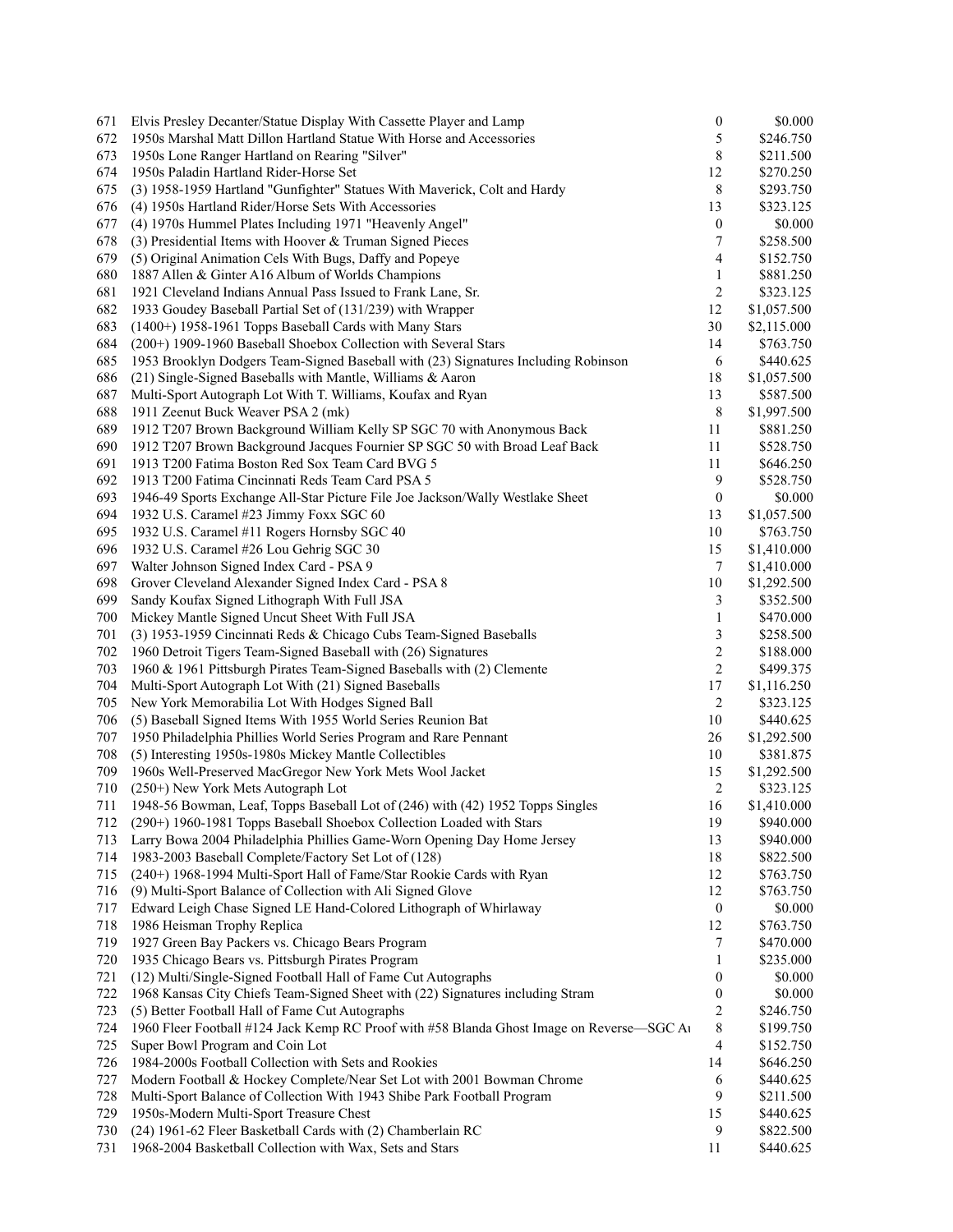| 671 | Elvis Presley Decanter/Statue Display With Cassette Player and Lamp                       | $\boldsymbol{0}$        | \$0.000     |
|-----|-------------------------------------------------------------------------------------------|-------------------------|-------------|
| 672 | 1950s Marshal Matt Dillon Hartland Statue With Horse and Accessories                      | 5                       | \$246.750   |
| 673 | 1950s Lone Ranger Hartland on Rearing "Silver"                                            | 8                       | \$211.500   |
| 674 | 1950s Paladin Hartland Rider-Horse Set                                                    | 12                      | \$270.250   |
| 675 | (3) 1958-1959 Hartland "Gunfighter" Statues With Maverick, Colt and Hardy                 | 8                       | \$293.750   |
| 676 | (4) 1950s Hartland Rider/Horse Sets With Accessories                                      | 13                      | \$323.125   |
| 677 | (4) 1970s Hummel Plates Including 1971 "Heavenly Angel"                                   | $\boldsymbol{0}$        | \$0.000     |
| 678 | (3) Presidential Items with Hoover $&$ Truman Signed Pieces                               | 7                       | \$258.500   |
| 679 | (5) Original Animation Cels With Bugs, Daffy and Popeye                                   | 4                       | \$152.750   |
| 680 | 1887 Allen & Ginter A16 Album of Worlds Champions                                         | 1                       | \$881.250   |
| 681 | 1921 Cleveland Indians Annual Pass Issued to Frank Lane, Sr.                              | 2                       | \$323.125   |
| 682 | 1933 Goudey Baseball Partial Set of (131/239) with Wrapper                                | 12                      | \$1,057.500 |
| 683 | (1400+) 1958-1961 Topps Baseball Cards with Many Stars                                    | 30                      | \$2,115.000 |
| 684 | (200+) 1909-1960 Baseball Shoebox Collection with Several Stars                           | 14                      | \$763.750   |
| 685 | 1953 Brooklyn Dodgers Team-Signed Baseball with (23) Signatures Including Robinson        | 6                       |             |
|     |                                                                                           |                         | \$440.625   |
| 686 | (21) Single-Signed Baseballs with Mantle, Williams & Aaron                                | 18                      | \$1,057.500 |
| 687 | Multi-Sport Autograph Lot With T. Williams, Koufax and Ryan                               | 13                      | \$587.500   |
| 688 | 1911 Zeenut Buck Weaver PSA 2 (mk)                                                        | 8                       | \$1,997.500 |
| 689 | 1912 T207 Brown Background William Kelly SP SGC 70 with Anonymous Back                    | 11                      | \$881.250   |
| 690 | 1912 T207 Brown Background Jacques Fournier SP SGC 50 with Broad Leaf Back                | 11                      | \$528.750   |
| 691 | 1913 T200 Fatima Boston Red Sox Team Card BVG 5                                           | 11                      | \$646.250   |
| 692 | 1913 T200 Fatima Cincinnati Reds Team Card PSA 5                                          | 9                       | \$528.750   |
| 693 | 1946-49 Sports Exchange All-Star Picture File Joe Jackson/Wally Westlake Sheet            | $\boldsymbol{0}$        | \$0.000     |
| 694 | 1932 U.S. Caramel #23 Jimmy Foxx SGC 60                                                   | 13                      | \$1,057.500 |
| 695 | 1932 U.S. Caramel #11 Rogers Hornsby SGC 40                                               | 10                      | \$763.750   |
| 696 | 1932 U.S. Caramel #26 Lou Gehrig SGC 30                                                   | 15                      | \$1,410.000 |
| 697 | Walter Johnson Signed Index Card - PSA 9                                                  | 7                       | \$1,410.000 |
| 698 | Grover Cleveland Alexander Signed Index Card - PSA 8                                      | $10\,$                  | \$1,292.500 |
| 699 | Sandy Koufax Signed Lithograph With Full JSA                                              | 3                       | \$352.500   |
| 700 | Mickey Mantle Signed Uncut Sheet With Full JSA                                            | 1                       | \$470.000   |
| 701 | (3) 1953-1959 Cincinnati Reds & Chicago Cubs Team-Signed Baseballs                        | 3                       | \$258.500   |
| 702 | 1960 Detroit Tigers Team-Signed Baseball with (26) Signatures                             | $\overline{\mathbf{c}}$ | \$188.000   |
| 703 | 1960 & 1961 Pittsburgh Pirates Team-Signed Baseballs with (2) Clemente                    | $\overline{c}$          | \$499.375   |
| 704 | Multi-Sport Autograph Lot With (21) Signed Baseballs                                      | 17                      | \$1,116.250 |
| 705 | New York Memorabilia Lot With Hodges Signed Ball                                          | 2                       | \$323.125   |
| 706 | (5) Baseball Signed Items With 1955 World Series Reunion Bat                              | 10                      | \$440.625   |
| 707 | 1950 Philadelphia Phillies World Series Program and Rare Pennant                          | 26                      | \$1,292.500 |
| 708 | (5) Interesting 1950s-1980s Mickey Mantle Collectibles                                    | 10                      | \$381.875   |
| 709 | 1960s Well-Preserved MacGregor New York Mets Wool Jacket                                  | 15                      | \$1,292.500 |
| 710 | (250+) New York Mets Autograph Lot                                                        | $\overline{c}$          | \$323.125   |
| 711 | 1948-56 Bowman, Leaf, Topps Baseball Lot of (246) with (42) 1952 Topps Singles            | 16                      | \$1,410.000 |
| 712 | (290+) 1960-1981 Topps Baseball Shoebox Collection Loaded with Stars                      | 19                      | \$940.000   |
| 713 | Larry Bowa 2004 Philadelphia Phillies Game-Worn Opening Day Home Jersey                   | 13                      | \$940.000   |
| 714 | 1983-2003 Baseball Complete/Factory Set Lot of (128)                                      | 18                      | \$822.500   |
| 715 | (240+) 1968-1994 Multi-Sport Hall of Fame/Star Rookie Cards with Ryan                     | 12                      | \$763.750   |
| 716 | (9) Multi-Sport Balance of Collection with Ali Signed Glove                               | 12                      | \$763.750   |
| 717 | Edward Leigh Chase Signed LE Hand-Colored Lithograph of Whirlaway                         | $\boldsymbol{0}$        | \$0.000     |
| 718 | 1986 Heisman Trophy Replica                                                               | 12                      | \$763.750   |
| 719 | 1927 Green Bay Packers vs. Chicago Bears Program                                          | 7                       | \$470.000   |
| 720 | 1935 Chicago Bears vs. Pittsburgh Pirates Program                                         | 1                       | \$235.000   |
|     |                                                                                           |                         |             |
| 721 | (12) Multi/Single-Signed Football Hall of Fame Cut Autographs                             | 0                       | \$0.000     |
| 722 | 1968 Kansas City Chiefs Team-Signed Sheet with (22) Signatures including Stram            | $\boldsymbol{0}$        | \$0.000     |
| 723 | (5) Better Football Hall of Fame Cut Autographs                                           | 2                       | \$246.750   |
| 724 | 1960 Fleer Football #124 Jack Kemp RC Proof with #58 Blanda Ghost Image on Reverse-SGC At | 8                       | \$199.750   |
| 725 | Super Bowl Program and Coin Lot                                                           | 4                       | \$152.750   |
| 726 | 1984-2000s Football Collection with Sets and Rookies                                      | 14                      | \$646.250   |
| 727 | Modern Football & Hockey Complete/Near Set Lot with 2001 Bowman Chrome                    | 6                       | \$440.625   |
| 728 | Multi-Sport Balance of Collection With 1943 Shibe Park Football Program                   | 9                       | \$211.500   |
| 729 | 1950s-Modern Multi-Sport Treasure Chest                                                   | 15                      | \$440.625   |
| 730 | (24) 1961-62 Fleer Basketball Cards with (2) Chamberlain RC                               | 9                       | \$822.500   |
| 731 | 1968-2004 Basketball Collection with Wax, Sets and Stars                                  | 11                      | \$440.625   |